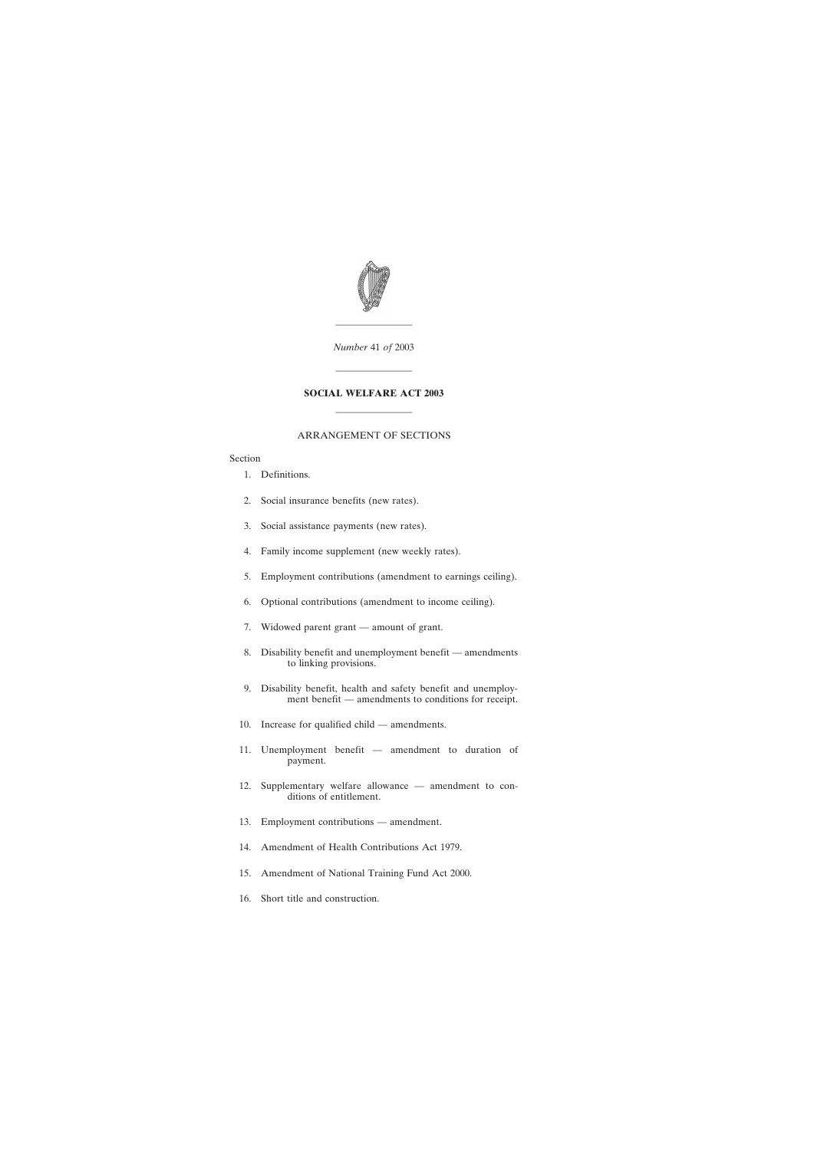

*Number* 41 *of* 2003

————————

————————

#### **SOCIAL WELFARE ACT 2003**

#### ARRANGEMENT OF SECTIONS

————————

#### Section

- [1. Definitions.](#page-2-0)
- [2. Social insurance benefits \(new rates\).](#page-2-0)
- [3. Social assistance payments \(new rates\).](#page-3-0)
- [4. Family income supplement \(new weekly rates\).](#page-3-0)
- [5. Employment contributions \(amendment to earnings ceiling\).](#page-3-0)
- [6. Optional contributions \(amendment to income ceiling\).](#page-4-0)
- [7. Widowed parent grant amount of grant.](#page-4-0)
- [8. Disability benefit and unemployment benefit amendments](#page-4-0) [to linking provisions.](#page-4-0)
- [9. Disability benefit, health and safety benefit and unemploy](#page-4-0)[ment benefit — amendments to conditions for receipt.](#page-4-0)
- [10. Increase for qualified child amendments.](#page-5-0)
- [11. Unemployment benefit amendment to duration of](#page-6-0) [payment.](#page-6-0)
- [12. Supplementary welfare allowance amendment to con](#page-7-0)[ditions of entitlement.](#page-7-0)
- [13. Employment contributions amendment.](#page-8-0)
- [14. Amendment of Health Contributions Act 1979.](#page-8-0)
- [15. Amendment of National Training Fund Act 2000.](#page-8-0)
- [16. Short title and construction.](#page-8-0)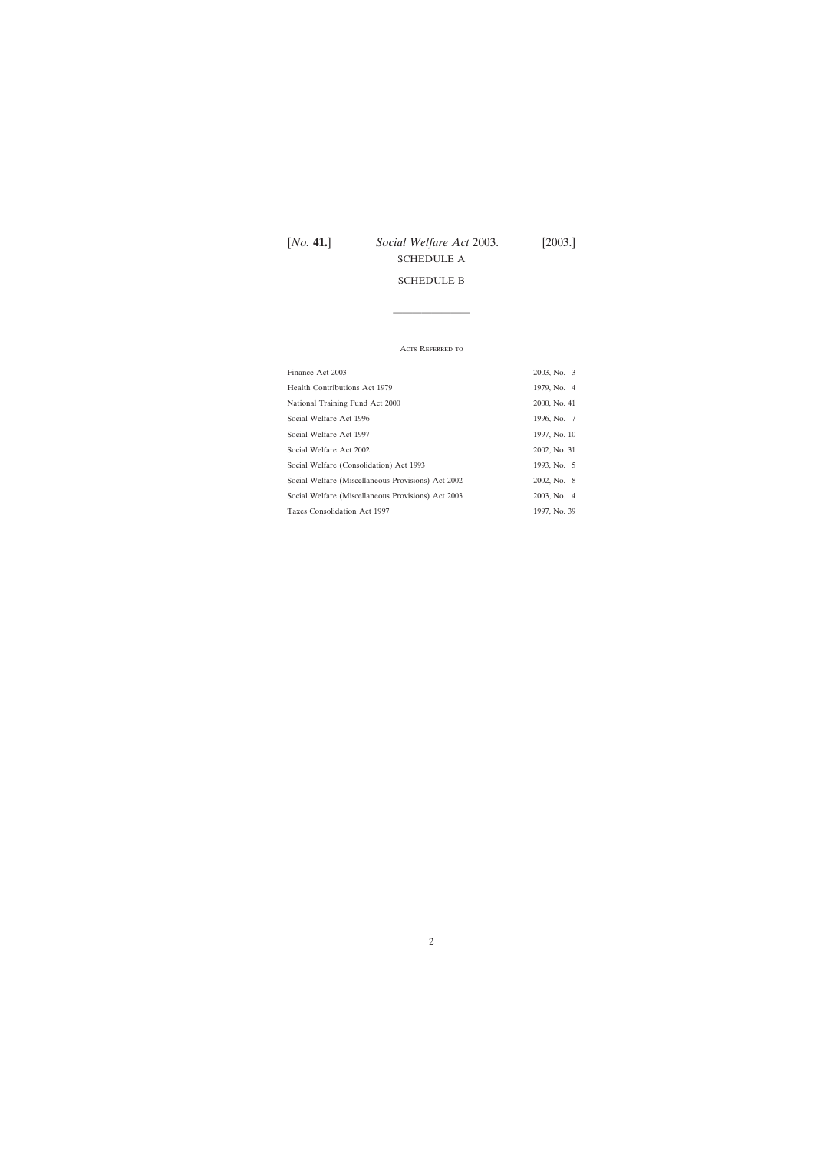# [*No.* **41.**] *Social Welfare Act* 2003. [2003.] [SCHEDULE A](#page-9-0) [SCHEDULE B](#page-11-0)

#### Acts Referred to

————————

| Finance Act 2003                                   | 2003, No. 3  |
|----------------------------------------------------|--------------|
| <b>Health Contributions Act 1979</b>               | 1979, No. 4  |
| National Training Fund Act 2000                    | 2000, No. 41 |
| Social Welfare Act 1996                            | 1996, No. 7  |
| Social Welfare Act 1997                            | 1997, No. 10 |
| Social Welfare Act 2002                            | 2002, No. 31 |
| Social Welfare (Consolidation) Act 1993            | 1993, No. 5  |
| Social Welfare (Miscellaneous Provisions) Act 2002 | 2002, No. 8  |
| Social Welfare (Miscellaneous Provisions) Act 2003 | 2003, No. 4  |
| Taxes Consolidation Act 1997                       | 1997, No. 39 |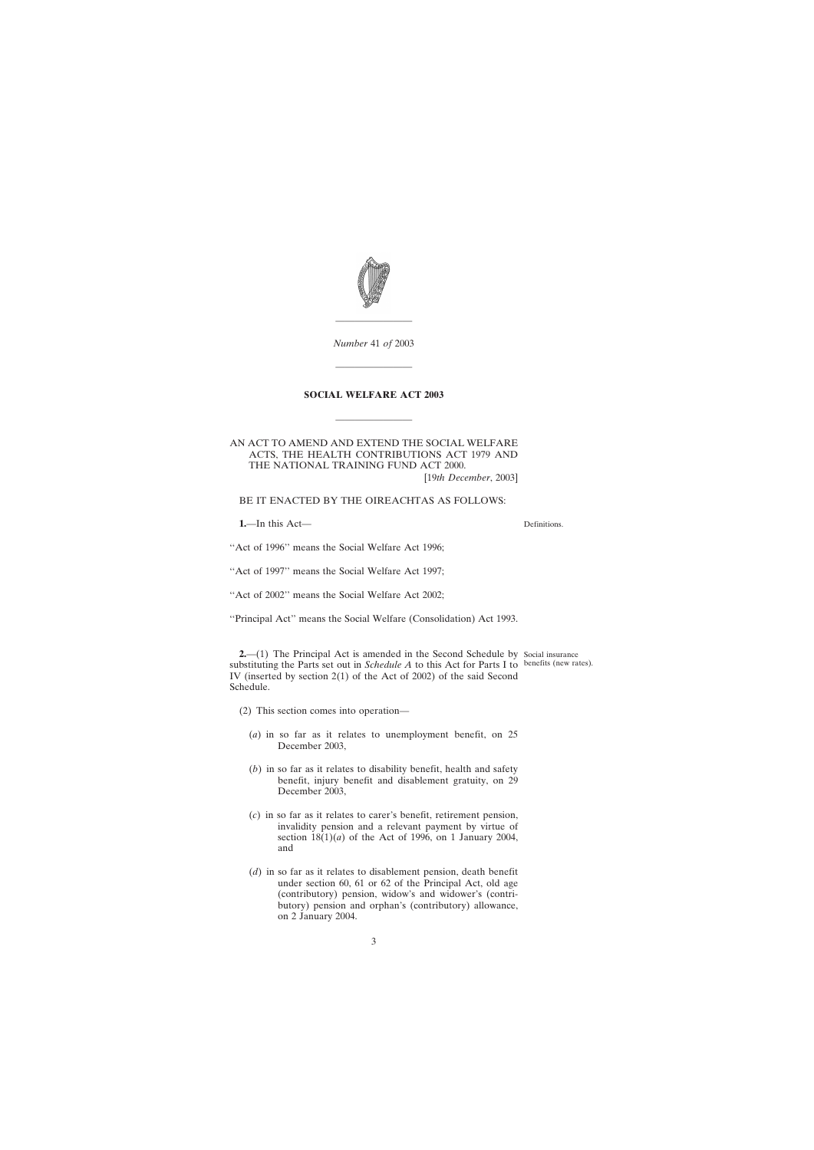<span id="page-2-0"></span>

*Number* 41 *of* 2003

————————

————————

#### **SOCIAL WELFARE ACT 2003**

————————

AN ACT TO AMEND AND EXTEND THE SOCIAL WELFARE ACTS, THE HEALTH CONTRIBUTIONS ACT 1979 AND THE NATIONAL TRAINING FUND ACT 2000. [19*th December*, 2003]

BE IT ENACTED BY THE OIREACHTAS AS FOLLOWS:

**1.**—In this Act—

Definitions.

''Act of 1996'' means the Social Welfare Act 1996;

"Act of 1997" means the Social Welfare Act 1997;

''Act of 2002'' means the Social Welfare Act 2002;

''Principal Act'' means the Social Welfare (Consolidation) Act 1993.

**2.**—(1) The Principal Act is amended in the Second Schedule by Social insurance substituting the Parts set out in *Schedule A* to this Act for Parts I to benefits (new rates).IV (inserted by section 2(1) of the Act of 2002) of the said Second Schedule.

- (2) This section comes into operation—
	- (*a*) in so far as it relates to unemployment benefit, on 25 December 2003,
	- (*b*) in so far as it relates to disability benefit, health and safety benefit, injury benefit and disablement gratuity, on 29 December 2003,
	- (*c*) in so far as it relates to carer's benefit, retirement pension, invalidity pension and a relevant payment by virtue of section  $18(1)(a)$  of the Act of 1996, on 1 January 2004, and
	- (*d*) in so far as it relates to disablement pension, death benefit under section 60, 61 or 62 of the Principal Act, old age (contributory) pension, widow's and widower's (contributory) pension and orphan's (contributory) allowance, on 2 January 2004.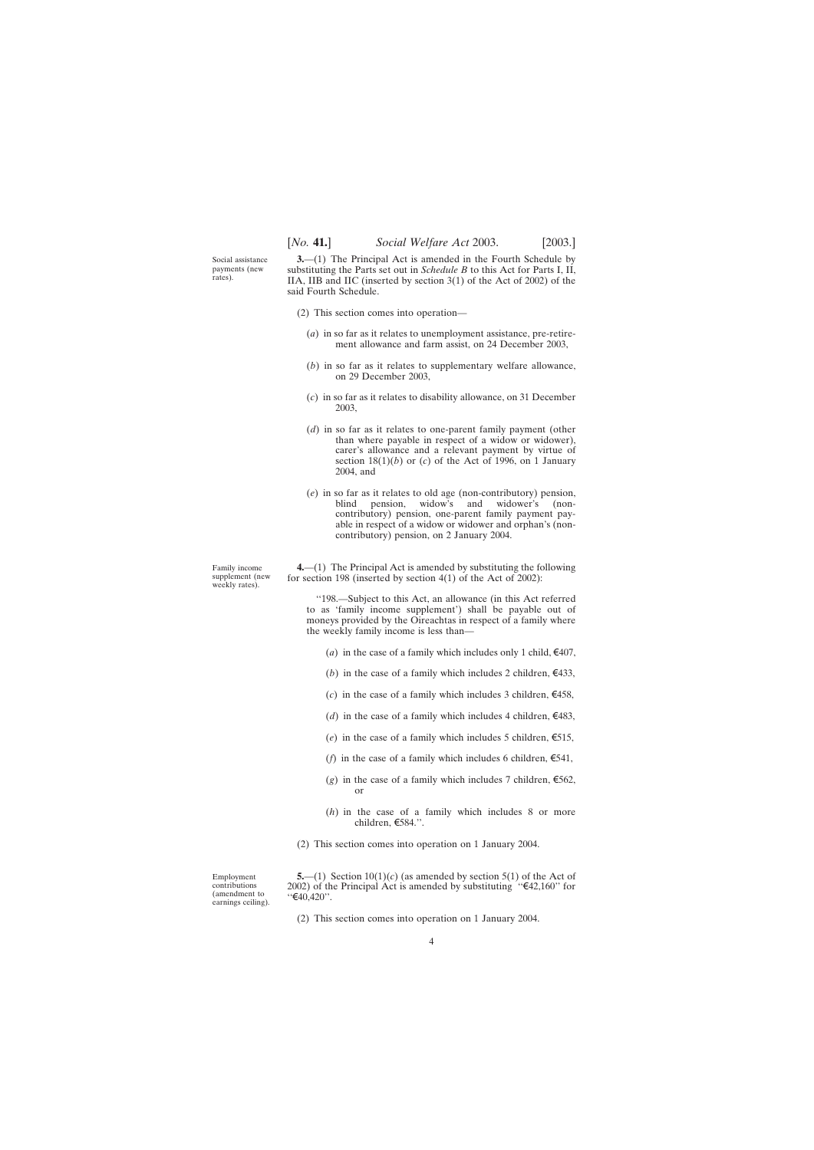<span id="page-3-0"></span>Social assistance payments (new rates).

**3.**—(1) The Principal Act is amended in the Fourth Schedule by substituting the Parts set out in *Schedule B* to this Act for Parts I, II, IIA, IIB and IIC (inserted by section 3(1) of the Act of 2002) of the said Fourth Schedule.

- (2) This section comes into operation—
	- (*a*) in so far as it relates to unemployment assistance, pre-retirement allowance and farm assist, on 24 December 2003,
	- (*b*) in so far as it relates to supplementary welfare allowance, on 29 December 2003,
	- (*c*) in so far as it relates to disability allowance, on 31 December 2003,
	- (*d*) in so far as it relates to one-parent family payment (other than where payable in respect of a widow or widower), carer's allowance and a relevant payment by virtue of section  $18(1)(b)$  or (*c*) of the Act of 1996, on 1 January 2004, and
	- (*e*) in so far as it relates to old age (non-contributory) pension, blind pension, widow's and widower's (noncontributory) pension, one-parent family payment payable in respect of a widow or widower and orphan's (noncontributory) pension, on 2 January 2004.

Family income supplement (new weekly rates).

**4.**—(1) The Principal Act is amended by substituting the following for section 198 (inserted by section 4(1) of the Act of 2002):

''198.—Subject to this Act, an allowance (in this Act referred to as 'family income supplement') shall be payable out of moneys provided by the Oireachtas in respect of a family where the weekly family income is less than—

- (*a*) in the case of a family which includes only 1 child,  $\epsilon$ 407,
- (*b*) in the case of a family which includes 2 children,  $\epsilon$ 433,
- (*c*) in the case of a family which includes 3 children,  $\epsilon$ 458,
- (*d*) in the case of a family which includes 4 children,  $\epsilon$ 483,
- (*e*) in the case of a family which includes 5 children,  $\epsilon$ 515,
- (*f*) in the case of a family which includes 6 children,  $\epsilon$ 541,
- (*g*) in the case of a family which includes 7 children,  $\epsilon$ 562, or
- (*h*) in the case of a family which includes 8 or more children,  $\epsilon$ 584.''.
- (2) This section comes into operation on 1 January 2004.

Employment contributions (amendment to earnings ceiling).

**5.**—(1) Section  $10(1)(c)$  (as amended by section 5(1) of the Act of 2002) of the Principal Act is amended by substituting " $\text{\textsterling}42,160$ " for  $``€40,420".$ 

(2) This section comes into operation on 1 January 2004.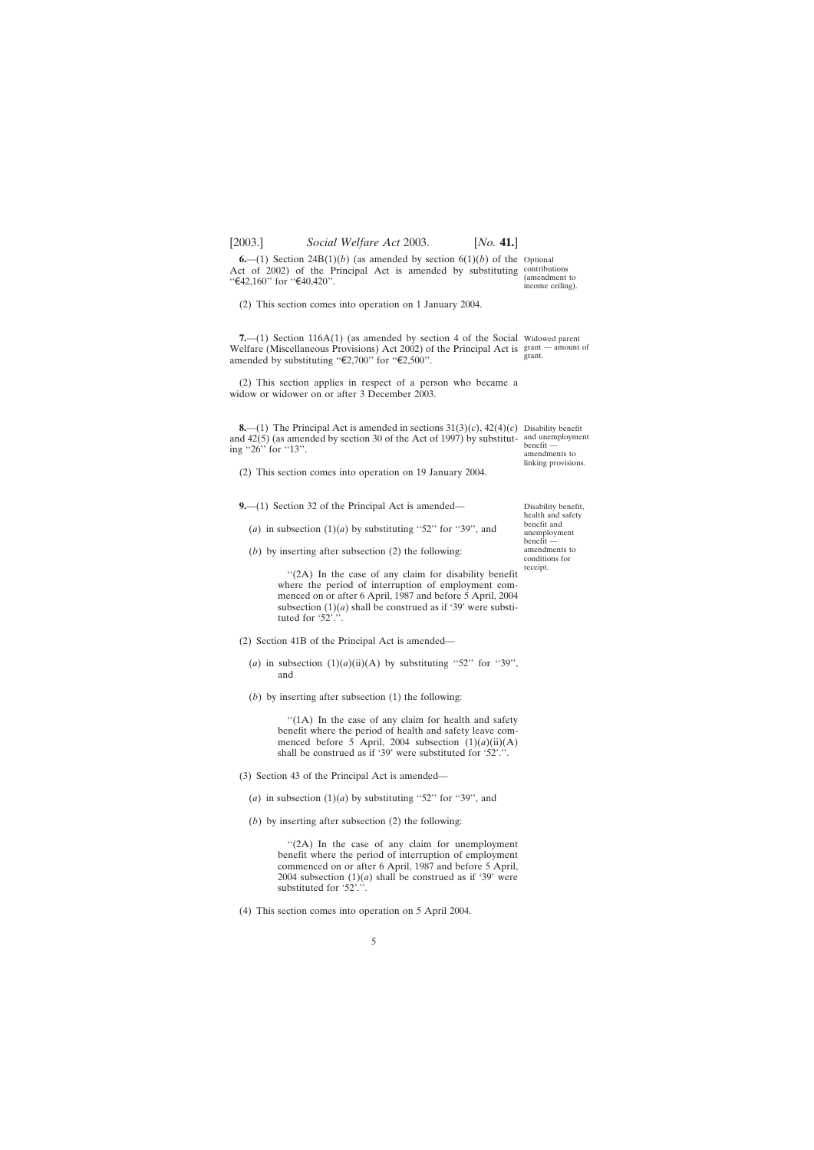<span id="page-4-0"></span>

**6.**—(1) Section 24B(1)(*b*) (as amended by section  $6(1)(b)$  of the Optional Act of 2002) of the Principal Act is amended by substituting contributions "€42,160" for "€40,420".

(2) This section comes into operation on 1 January 2004.

**7.**—(1) Section 116A(1) (as amended by section 4 of the Social Widowed parent Welfare (Miscellaneous Provisions) Act 2002) of the Principal Act is grant - amount of amended by substituting " $\epsilon$ 2,700" for " $\epsilon$ 2,500".

(2) This section applies in respect of a person who became a widow or widower on or after 3 December 2003.

**8.**—(1) The Principal Act is amended in sections  $31(3)(c)$ ,  $42(4)(c)$  Disability benefit and 42(5) (as amended by section 30 of the Act of 1997) by substitut-and unemployment ing "26" for "13".

(2) This section comes into operation on 19 January 2004.

**9.**—(1) Section 32 of the Principal Act is amended—

- (*a*) in subsection  $(1)(a)$  by substituting "52" for "39", and
- (*b*) by inserting after subsection (2) the following:

"(2A) In the case of any claim for disability benefit where the period of interruption of employment commenced on or after 6 April, 1987 and before 5 April, 2004 subsection  $(1)(a)$  shall be construed as if '39' were substituted for '52'.'

- (2) Section 41B of the Principal Act is amended—
	- (*a*) in subsection  $(1)(a)(ii)(A)$  by substituting "52" for "39", and
	- (*b*) by inserting after subsection (1) the following:

"(1A) In the case of any claim for health and safety benefit where the period of health and safety leave commenced before 5 April, 2004 subsection  $(1)(a)(ii)(A)$ shall be construed as if '39' were substituted for '52'.''.

- (3) Section 43 of the Principal Act is amended—
	- (*a*) in subsection  $(1)(a)$  by substituting "52" for "39", and
	- (*b*) by inserting after subsection (2) the following:

"(2A) In the case of any claim for unemployment benefit where the period of interruption of employment commenced on or after 6 April, 1987 and before 5 April, 2004 subsection  $(1)(a)$  shall be construed as if '39' were substituted for '52'.''.

(4) This section comes into operation on 5 April 2004.

(amendment to income ceiling).

grant.

benefit amendments to linking provisions.

Disability benefit, health and safety benefit and unemployment benefit amendments to conditions for receipt.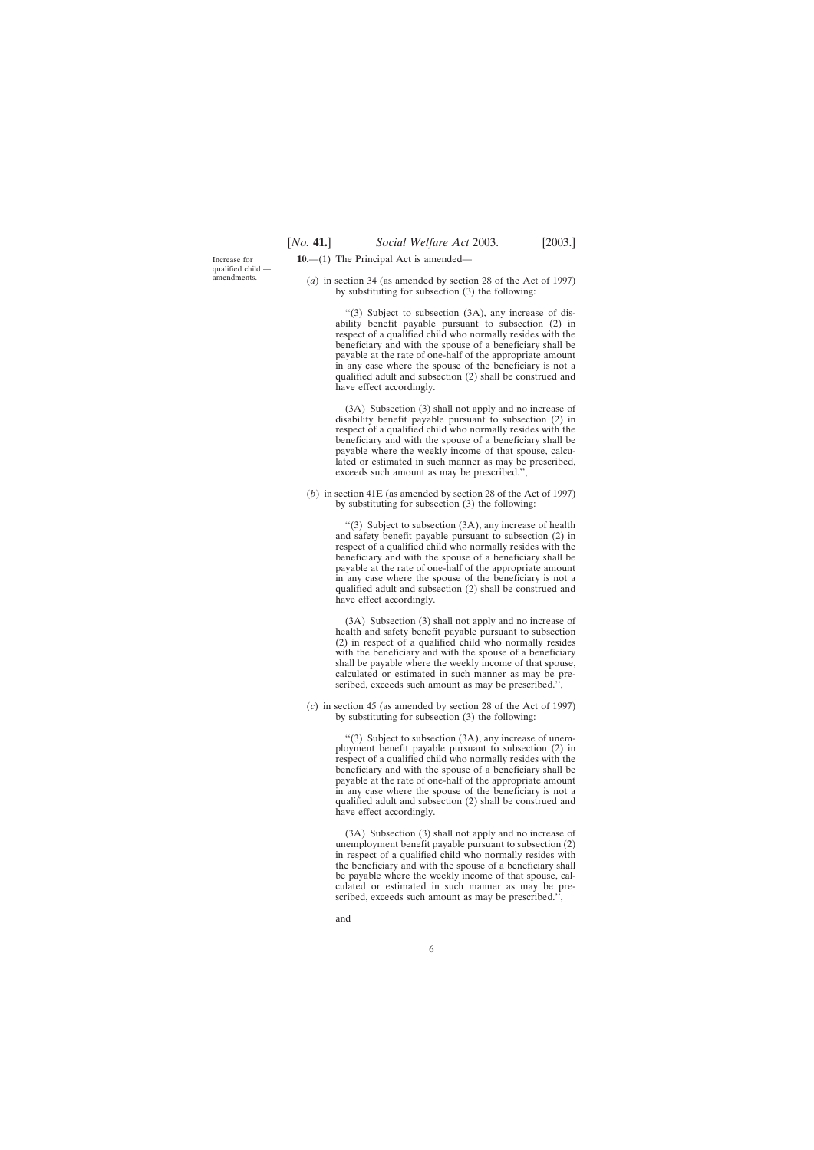<span id="page-5-0"></span>Increase for qualified child amendments.

- **10.**—(1) The Principal Act is amended—
	- (*a*) in section 34 (as amended by section 28 of the Act of 1997) by substituting for subsection (3) the following:

''(3) Subject to subsection (3A), any increase of disability benefit payable pursuant to subsection (2) in respect of a qualified child who normally resides with the beneficiary and with the spouse of a beneficiary shall be payable at the rate of one-half of the appropriate amount in any case where the spouse of the beneficiary is not a qualified adult and subsection (2) shall be construed and have effect accordingly.

(3A) Subsection (3) shall not apply and no increase of disability benefit payable pursuant to subsection (2) in respect of a qualified child who normally resides with the beneficiary and with the spouse of a beneficiary shall be payable where the weekly income of that spouse, calculated or estimated in such manner as may be prescribed, exceeds such amount as may be prescribed.'',

(*b*) in section 41E (as amended by section 28 of the Act of 1997) by substituting for subsection (3) the following:

> ''(3) Subject to subsection (3A), any increase of health and safety benefit payable pursuant to subsection (2) in respect of a qualified child who normally resides with the beneficiary and with the spouse of a beneficiary shall be payable at the rate of one-half of the appropriate amount in any case where the spouse of the beneficiary is not a qualified adult and subsection (2) shall be construed and have effect accordingly.

> (3A) Subsection (3) shall not apply and no increase of health and safety benefit payable pursuant to subsection (2) in respect of a qualified child who normally resides with the beneficiary and with the spouse of a beneficiary shall be payable where the weekly income of that spouse, calculated or estimated in such manner as may be prescribed, exceeds such amount as may be prescribed.'',

(*c*) in section 45 (as amended by section 28 of the Act of 1997) by substituting for subsection (3) the following:

> ''(3) Subject to subsection (3A), any increase of unemployment benefit payable pursuant to subsection (2) in respect of a qualified child who normally resides with the beneficiary and with the spouse of a beneficiary shall be payable at the rate of one-half of the appropriate amount in any case where the spouse of the beneficiary is not a qualified adult and subsection (2) shall be construed and have effect accordingly.

> (3A) Subsection (3) shall not apply and no increase of unemployment benefit payable pursuant to subsection (2) in respect of a qualified child who normally resides with the beneficiary and with the spouse of a beneficiary shall be payable where the weekly income of that spouse, calculated or estimated in such manner as may be prescribed, exceeds such amount as may be prescribed.'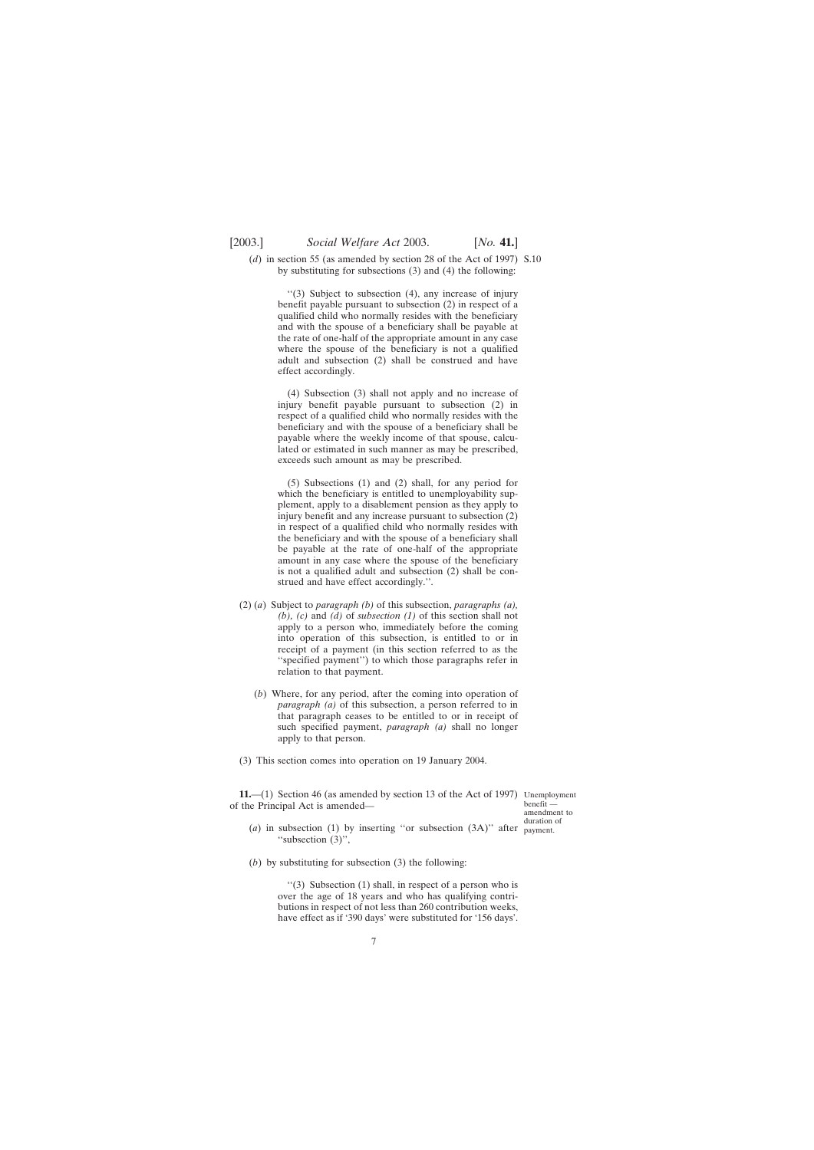<span id="page-6-0"></span>(*d*) in section 55 (as amended by section 28 of the Act of 1997) S.10 by substituting for subsections (3) and (4) the following:

> ''(3) Subject to subsection (4), any increase of injury benefit payable pursuant to subsection (2) in respect of a qualified child who normally resides with the beneficiary and with the spouse of a beneficiary shall be payable at the rate of one-half of the appropriate amount in any case where the spouse of the beneficiary is not a qualified adult and subsection (2) shall be construed and have effect accordingly.

> (4) Subsection (3) shall not apply and no increase of injury benefit payable pursuant to subsection (2) in respect of a qualified child who normally resides with the beneficiary and with the spouse of a beneficiary shall be payable where the weekly income of that spouse, calculated or estimated in such manner as may be prescribed, exceeds such amount as may be prescribed.

> (5) Subsections (1) and (2) shall, for any period for which the beneficiary is entitled to unemployability supplement, apply to a disablement pension as they apply to injury benefit and any increase pursuant to subsection (2) in respect of a qualified child who normally resides with the beneficiary and with the spouse of a beneficiary shall be payable at the rate of one-half of the appropriate amount in any case where the spouse of the beneficiary is not a qualified adult and subsection (2) shall be construed and have effect accordingly.''.

- (2) (*a*) Subject to *paragraph (b)* of this subsection, *paragraphs (a), (b), (c)* and *(d)* of *subsection (1)* of this section shall not apply to a person who, immediately before the coming into operation of this subsection, is entitled to or in receipt of a payment (in this section referred to as the ''specified payment'') to which those paragraphs refer in relation to that payment.
	- (*b*) Where, for any period, after the coming into operation of *paragraph (a)* of this subsection, a person referred to in that paragraph ceases to be entitled to or in receipt of such specified payment, *paragraph (a)* shall no longer apply to that person.
- (3) This section comes into operation on 19 January 2004.

**11.**—(1) Section 46 (as amended by section 13 of the Act of 1997) Unemployment of the Principal Act is amended—

benefit amendment to duration of

- (*a*) in subsection (1) by inserting ''or subsection (3A)'' after payment.''subsection (3)'',
- (*b*) by substituting for subsection (3) the following:

''(3) Subsection (1) shall, in respect of a person who is over the age of 18 years and who has qualifying contributions in respect of not less than 260 contribution weeks, have effect as if '390 days' were substituted for '156 days'.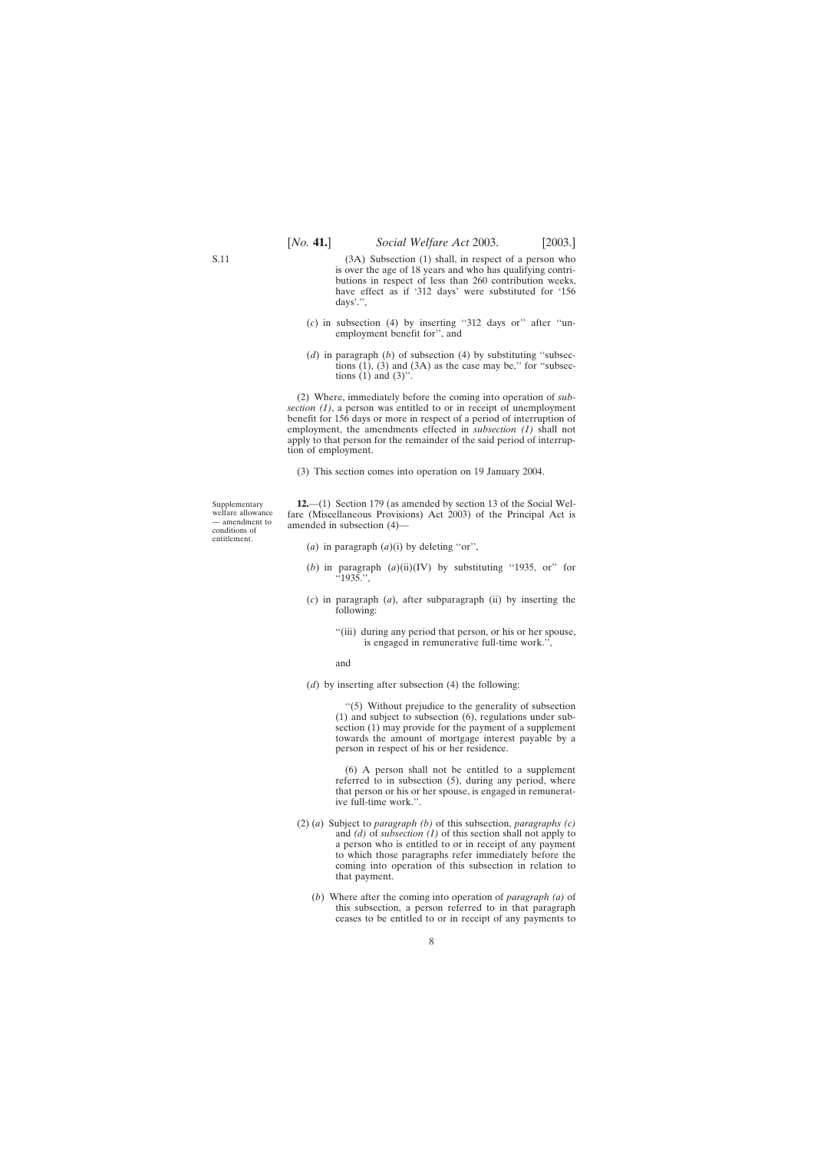<span id="page-7-0"></span>(3A) Subsection (1) shall, in respect of a person who is over the age of 18 years and who has qualifying contributions in respect of less than 260 contribution weeks, have effect as if '312 days' were substituted for '156 days'.'',

- (*c*) in subsection (4) by inserting ''312 days or'' after ''unemployment benefit for'', and
- (*d*) in paragraph (*b*) of subsection (4) by substituting ''subsections  $(1)$ ,  $(3)$  and  $(3A)$  as the case may be," for "subsections  $(1)$  and  $(3)$ ".

(2) Where, immediately before the coming into operation of *subsection (1)*, a person was entitled to or in receipt of unemployment benefit for 156 days or more in respect of a period of interruption of employment, the amendments effected in *subsection (1)* shall not apply to that person for the remainder of the said period of interruption of employment.

(3) This section comes into operation on 19 January 2004.

Supplementary welfare allowance — amendment to conditions of entitlement.

**12.**—(1) Section 179 (as amended by section 13 of the Social Welfare (Miscellaneous Provisions) Act 2003) of the Principal Act is amended in subsection (4)—

- (*a*) in paragraph (*a*)(i) by deleting ''or'',
- (*b*) in paragraph (*a*)(ii)(IV) by substituting ''1935, or'' for  $^{1935}$ .
- (*c*) in paragraph (*a*), after subparagraph (ii) by inserting the following:
	- ''(iii) during any period that person, or his or her spouse, is engaged in remunerative full-time work.'',

and

(*d*) by inserting after subsection (4) the following:

''(5) Without prejudice to the generality of subsection (1) and subject to subsection (6), regulations under subsection (1) may provide for the payment of a supplement towards the amount of mortgage interest payable by a person in respect of his or her residence.

(6) A person shall not be entitled to a supplement referred to in subsection (5), during any period, where that person or his or her spouse, is engaged in remunerative full-time work.''.

- (2) (*a*) Subject to *paragraph (b)* of this subsection, *paragraphs (c)* and *(d)* of *subsection (1)* of this section shall not apply to a person who is entitled to or in receipt of any payment to which those paragraphs refer immediately before the coming into operation of this subsection in relation to that payment.
	- (*b*) Where after the coming into operation of *paragraph (a)* of this subsection, a person referred to in that paragraph ceases to be entitled to or in receipt of any payments to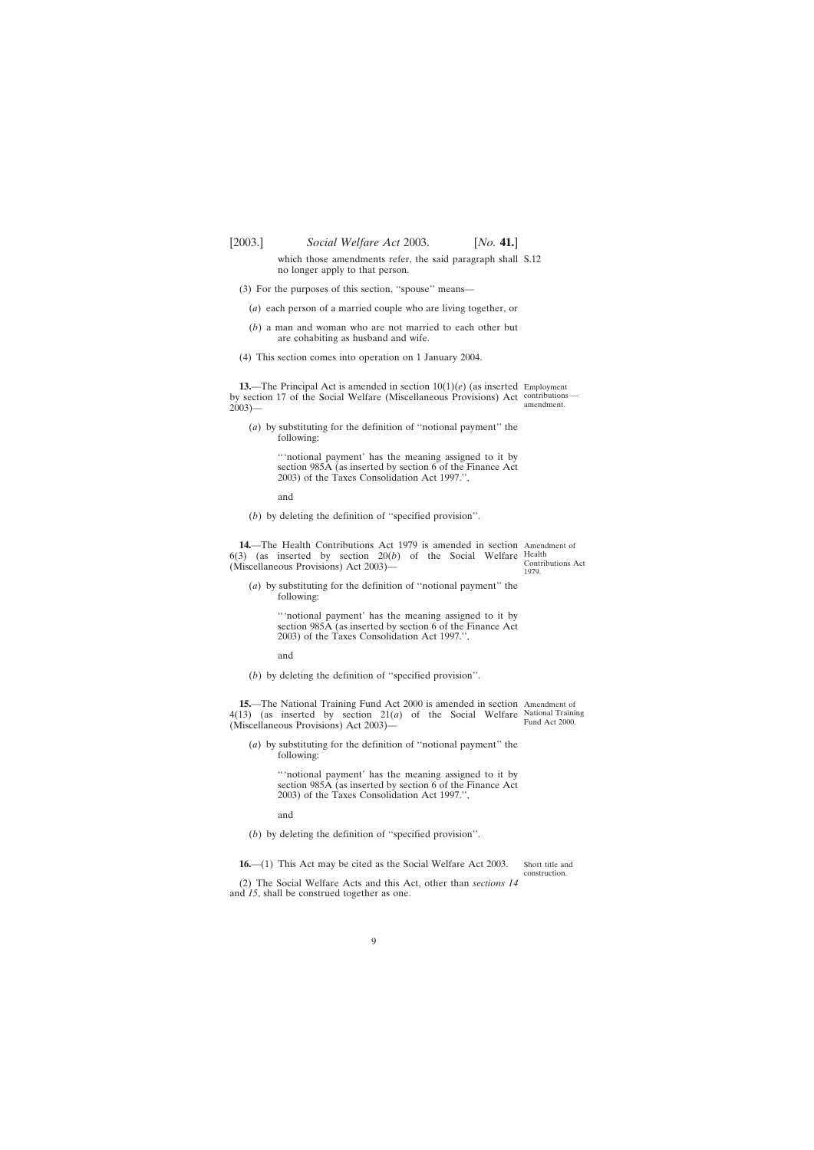<span id="page-8-0"></span>

which those amendments refer, the said paragraph shall S.12 no longer apply to that person.

- (3) For the purposes of this section, ''spouse'' means—
	- (*a*) each person of a married couple who are living together, or
	- (*b*) a man and woman who are not married to each other but are cohabiting as husband and wife.
- (4) This section comes into operation on 1 January 2004.

**13.**—The Principal Act is amended in section 10(1)(*e*) (as inserted Employment by section 17 of the Social Welfare (Miscellaneous Provisions) Act contributions —  $2003$ ) $-$ 

(*a*) by substituting for the definition of ''notional payment'' the following:

> '''notional payment' has the meaning assigned to it by section 985A (as inserted by section 6 of the Finance Act 2003) of the Taxes Consolidation Act 1997.'',

and

(*b*) by deleting the definition of ''specified provision''.

**14.**—The Health Contributions Act 1979 is amended in section Amendment of  $6(3)$  (as inserted by section  $20(b)$  of the Social Welfare Health (Miscellaneous Provisions) Act 2003)—

(*a*) by substituting for the definition of ''notional payment'' the following:

> '''notional payment' has the meaning assigned to it by section 985A (as inserted by section 6 of the Finance Act 2003) of the Taxes Consolidation Act 1997.'',

and

(*b*) by deleting the definition of ''specified provision''.

**15.**—The National Training Fund Act 2000 is amended in section Amendment of  $4(13)$  (as inserted by section  $21(a)$  of the Social Welfare National Training (Miscellaneous Provisions) Act 2003)— Fund Act 2000.

(*a*) by substituting for the definition of ''notional payment'' the following:

> '''notional payment' has the meaning assigned to it by section 985A (as inserted by section 6 of the Finance Act 2003) of the Taxes Consolidation Act 1997.'',

and

(*b*) by deleting the definition of ''specified provision''.

**16.**—(1) This Act may be cited as the Social Welfare Act 2003.

Short title and construction.

(2) The Social Welfare Acts and this Act, other than *sections 14* and *15*, shall be construed together as one.

Contributions Act 1979.

amendment.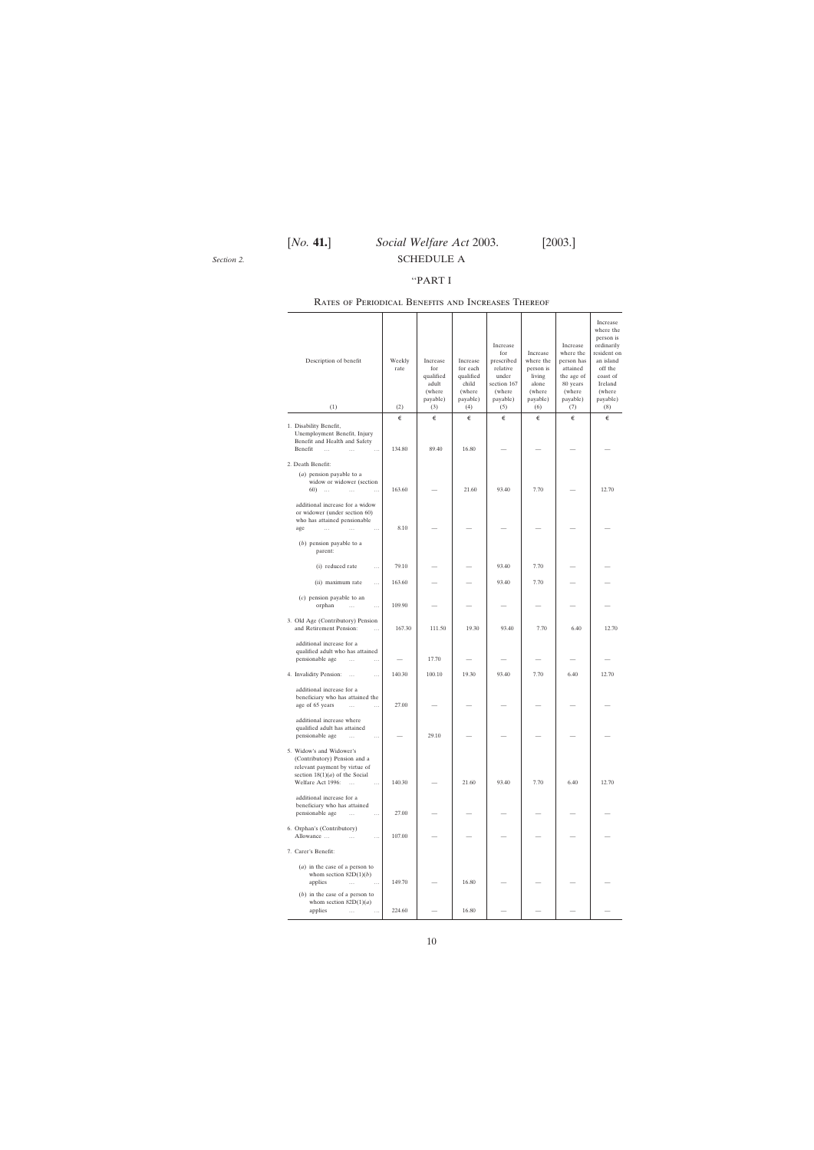<span id="page-9-0"></span>*Section 2.*

#### ''PART I

| Description of benefit<br>(1)                                                                                                                                               | Weekly<br>rate<br>(2) | Increase<br>for<br>qualified<br>adult<br>(where<br>payable) | Increase<br>for each<br>qualified<br>child<br>(where<br>payable)<br>(4) | Increase<br>for<br>prescribed<br>relative<br>under<br>section 167<br>(where<br>payable) | Increase<br>where the<br>person is<br>living<br>alone<br>(where<br>payable)<br>(6) | Increase<br>where the<br>person has<br>attained<br>the age of<br>80 years<br>(where<br>payable) | Increase<br>where the<br>person is<br>ordinarily<br>resident on<br>an island<br>off the<br>coast of<br>Ireland<br>(where<br>payable)<br>(8) |
|-----------------------------------------------------------------------------------------------------------------------------------------------------------------------------|-----------------------|-------------------------------------------------------------|-------------------------------------------------------------------------|-----------------------------------------------------------------------------------------|------------------------------------------------------------------------------------|-------------------------------------------------------------------------------------------------|---------------------------------------------------------------------------------------------------------------------------------------------|
|                                                                                                                                                                             |                       | (3)                                                         |                                                                         | (5)                                                                                     |                                                                                    | (7)                                                                                             |                                                                                                                                             |
| 1. Disability Benefit,<br>Unemployment Benefit, Injury<br>Benefit and Health and Safety<br>Benefit<br>$\cdots$<br>$\ddotsc$                                                 | €<br>134.80           | €<br>89.40                                                  | €<br>16.80                                                              | €                                                                                       | €                                                                                  | €                                                                                               | €                                                                                                                                           |
| 2. Death Benefit:<br>$(a)$ pension payable to a<br>widow or widower (section<br>60)<br>$\sim 100$<br>$\cdots$<br>additional increase for a widow                            | 163.60                |                                                             | 21.60                                                                   | 93.40                                                                                   | 7.70                                                                               |                                                                                                 | 12.70                                                                                                                                       |
| or widower (under section 60)<br>who has attained pensionable<br>age<br>$\ddotsc$<br>$\cdots$<br>$\ldots$<br>$(b)$ pension payable to a<br>parent:                          | 8.10                  |                                                             |                                                                         |                                                                                         |                                                                                    |                                                                                                 |                                                                                                                                             |
| (i) reduced rate<br>$\cdots$                                                                                                                                                | 79.10                 |                                                             |                                                                         | 93.40                                                                                   | 7.70                                                                               |                                                                                                 |                                                                                                                                             |
| (ii) maximum rate<br>                                                                                                                                                       | 163.60                |                                                             |                                                                         | 93.40                                                                                   | 7.70                                                                               |                                                                                                 |                                                                                                                                             |
| $(c)$ pension payable to an<br>orphan<br>$\cdots$<br>$\cdots$                                                                                                               | 109.90                |                                                             |                                                                         |                                                                                         |                                                                                    |                                                                                                 |                                                                                                                                             |
| 3. Old Age (Contributory) Pension<br>and Retirement Pension:<br>$\cdots$                                                                                                    | 167.30                | 111.50                                                      | 19.30                                                                   | 93.40                                                                                   | 7.70                                                                               | 6.40                                                                                            | 12.70                                                                                                                                       |
| additional increase for a<br>qualified adult who has attained<br>pensionable age<br>$\cdots$<br>$\ddotsc$                                                                   |                       | 17.70                                                       |                                                                         |                                                                                         |                                                                                    |                                                                                                 |                                                                                                                                             |
| 4. Invalidity Pension:<br>$\ldots$                                                                                                                                          | 140.30                | 100.10                                                      | 19.30                                                                   | 93.40                                                                                   | 7.70                                                                               | 6.40                                                                                            | 12.70                                                                                                                                       |
| additional increase for a<br>beneficiary who has attained the<br>age of 65 years<br>$\ldots$<br>$\cdots$                                                                    | 27.00                 |                                                             |                                                                         |                                                                                         |                                                                                    |                                                                                                 |                                                                                                                                             |
| additional increase where<br>qualified adult has attained<br>pensionable age<br>$\cdots$<br>$\cdots$                                                                        |                       | 29.10                                                       |                                                                         |                                                                                         |                                                                                    |                                                                                                 |                                                                                                                                             |
| 5. Widow's and Widower's<br>(Contributory) Pension and a<br>relevant payment by virtue of<br>section $18(1)(a)$ of the Social<br>Welfare Act 1996:<br>$\ddotsc$<br>$\cdots$ | 140.30                |                                                             | 21.60                                                                   | 93.40                                                                                   | 7.70                                                                               | 6.40                                                                                            | 12.70                                                                                                                                       |
| additional increase for a<br>beneficiary who has attained<br>pensionable age<br>$\cdots$<br>$\cdots$                                                                        | 27.00                 |                                                             |                                                                         |                                                                                         |                                                                                    |                                                                                                 |                                                                                                                                             |
| 6. Orphan's (Contributory)<br>Allowance<br>$\cdots$<br>$\cdots$                                                                                                             | 107.00                |                                                             |                                                                         |                                                                                         |                                                                                    |                                                                                                 |                                                                                                                                             |
| 7. Carer's Benefit:                                                                                                                                                         |                       |                                                             |                                                                         |                                                                                         |                                                                                    |                                                                                                 |                                                                                                                                             |
| $(a)$ in the case of a person to<br>whom section $82D(1)(b)$<br>applies<br>$\cdots$<br>$\ldots$                                                                             | 149.70                |                                                             | 16.80                                                                   |                                                                                         |                                                                                    |                                                                                                 |                                                                                                                                             |
| $(b)$ in the case of a person to<br>whom section $82D(1)(a)$<br>applies<br>$\cdots$<br>$\cdots$                                                                             | 224.60                |                                                             | 16.80                                                                   |                                                                                         |                                                                                    |                                                                                                 |                                                                                                                                             |

#### Rates of Periodical Benefits and Increases Thereof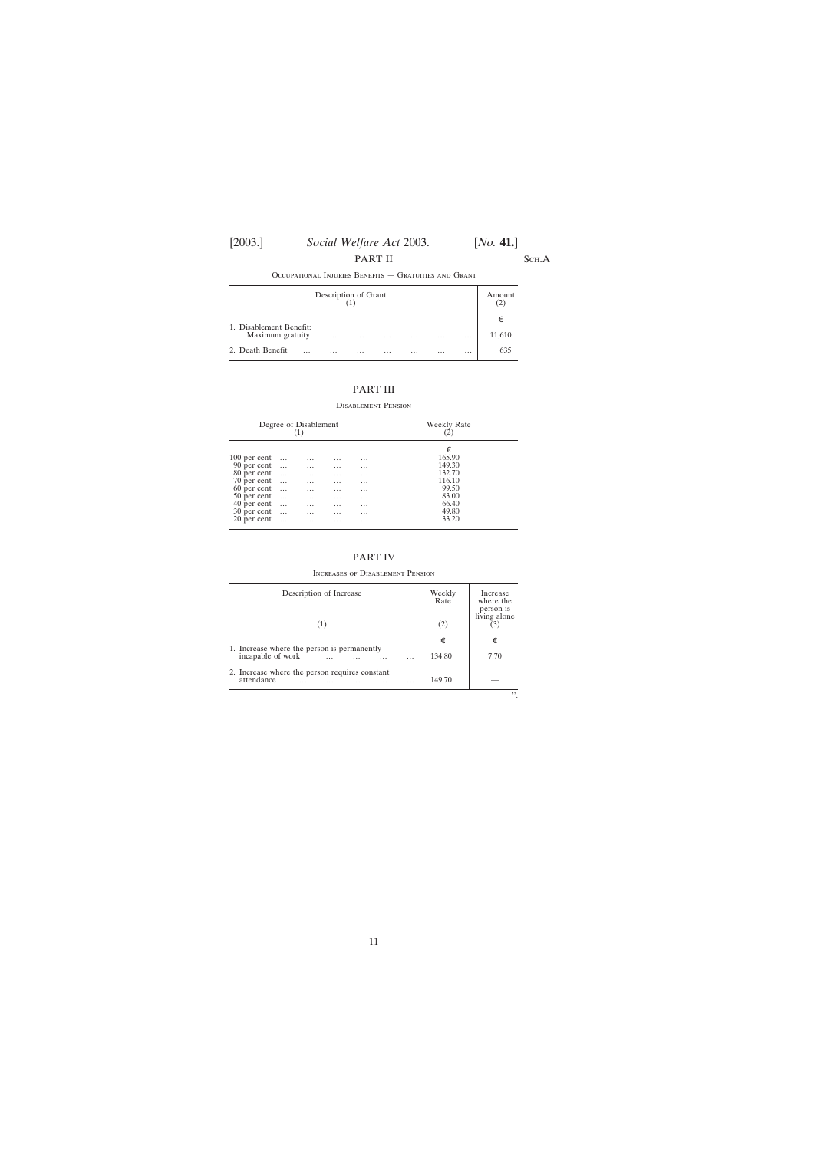PART II SCH.A

Occupational Injuries Benefits — Gratuities and Grant

| Description of Grant    |          |          |          |          |          | Amount<br>ے |        |
|-------------------------|----------|----------|----------|----------|----------|-------------|--------|
| 1. Disablement Benefit: |          |          |          |          |          |             | €      |
| Maximum gratuity        | $\cdots$ | $\cdots$ | $\cdots$ | $\cdots$ | $\cdots$ | $\cdots$    | 11,610 |
| 2. Death Benefit        | $\cdots$ | $\cdots$ | $\cdots$ | $\cdots$ | $\cdots$ | $\cdots$    | 635    |

### PART III

Disablement Pension

| Degree of Disablement                                                    |                                                          |                                                   |                                                          |                                                          | Weekly Rate                                        |
|--------------------------------------------------------------------------|----------------------------------------------------------|---------------------------------------------------|----------------------------------------------------------|----------------------------------------------------------|----------------------------------------------------|
| 100 per cent<br>90 per cent<br>80 per cent<br>70 per cent<br>60 per cent | $\ldots$<br>$\cdots$<br>$\ddots$<br>$\cdots$<br>$\ldots$ | $\cdots$<br>$\cdots$<br>$\cdots$<br>$\cdots$<br>. | $\cdots$<br>$\cdots$<br>$\cdots$<br>$\cdots$<br>$\cdots$ | $\cdots$<br>$\cdots$<br>$\cdots$<br>$\cdots$<br>$\cdots$ | €<br>165.90<br>149.30<br>132.70<br>116.10<br>99.50 |
| 50 per cent<br>40 per cent<br>30 per cent<br>20 per cent                 | $\cdots$<br>$\ldots$<br>$\ldots$<br>$\cdots$             | $\cdots$<br>$\cdots$<br>$\cdots$<br>$\cdots$      | $\cdots$<br>$\cdots$<br>$\cdots$<br>$\cdots$             | $\cdots$<br>$\cdots$<br>$\cdots$<br>$\cdots$             | 83.00<br>66.40<br>49.80<br>33.20                   |

#### PART IV

Increases of Disablement Pension

| Description of Increase<br>(1)                                         | Weekly<br>Rate<br>(2) | Increase<br>where the<br>person is<br>living alone |
|------------------------------------------------------------------------|-----------------------|----------------------------------------------------|
| 1. Increase where the person is permanently                            | €                     | €                                                  |
| incapable of work<br>$\cdots$<br>.                                     | 134.80                | 7.70                                               |
| 2. Increase where the person requires constant<br>attendance<br>.<br>. | 149.70                |                                                    |
|                                                                        |                       | , ,                                                |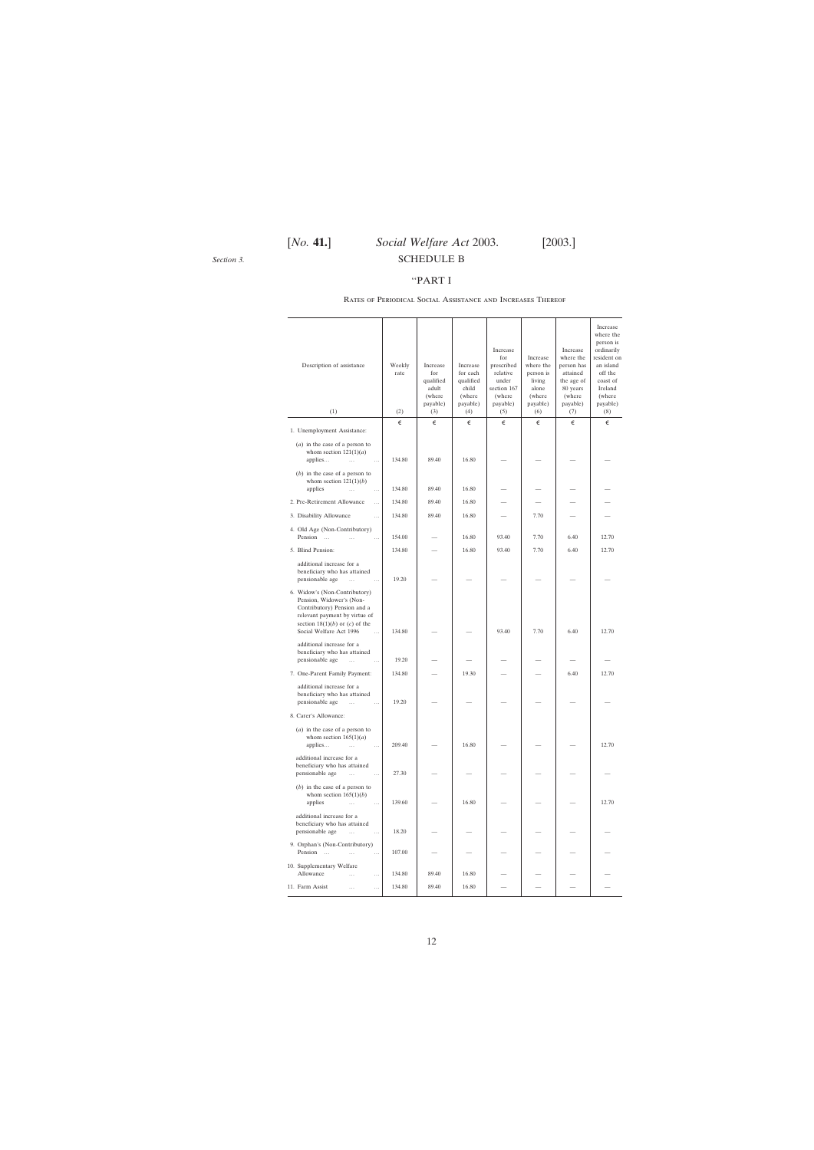<span id="page-11-0"></span>*Section 3.*

## [*No.* **41.**] *Social Welfare Act* 2003. [2003.] SCHEDULE B

#### ''PART I

| Description of assistance                                                                                                                                                                               | Weekly<br>rate | Increase<br>for<br>qualified<br>adult<br>(where<br>payable) | Increase<br>for each<br>qualified<br>child<br>(where<br>payable) | Increase<br>for<br>prescribed<br>relative<br>under<br>section 167<br>(where<br>payable) | Increase<br>where the<br>person is<br>living<br>alone<br>(where<br>payable) | Increase<br>where the<br>person has<br>attained<br>the age of<br>80 years<br>(where)<br>payable) | Increase<br>where the<br>person is<br>ordinarily<br>resident on<br>an island<br>off the<br>coast of<br>Ireland<br>(where<br>payable) |
|---------------------------------------------------------------------------------------------------------------------------------------------------------------------------------------------------------|----------------|-------------------------------------------------------------|------------------------------------------------------------------|-----------------------------------------------------------------------------------------|-----------------------------------------------------------------------------|--------------------------------------------------------------------------------------------------|--------------------------------------------------------------------------------------------------------------------------------------|
| (1)                                                                                                                                                                                                     | (2)<br>€       | (3)<br>€                                                    | (4)                                                              | (5)                                                                                     | (6)                                                                         | (7)                                                                                              | (8)<br>€                                                                                                                             |
| 1. Unemployment Assistance:                                                                                                                                                                             |                |                                                             | €                                                                | €                                                                                       | €                                                                           | €                                                                                                |                                                                                                                                      |
| $(a)$ in the case of a person to<br>whom section $121(1)(a)$<br>applies<br>$\overline{\phantom{a}}$<br>$\cdots$                                                                                         | 134.80         | 89.40                                                       | 16.80                                                            |                                                                                         |                                                                             |                                                                                                  |                                                                                                                                      |
| $(b)$ in the case of a person to<br>whom section $121(1)(b)$<br>applies<br>$\ddotsc$<br>$\cdots$                                                                                                        | 134.80         | 89.40                                                       | 16.80                                                            |                                                                                         |                                                                             |                                                                                                  |                                                                                                                                      |
| 2. Pre-Retirement Allowance<br>$\cdots$                                                                                                                                                                 | 134.80         | 89.40                                                       | 16.80                                                            |                                                                                         |                                                                             |                                                                                                  |                                                                                                                                      |
| 3. Disability Allowance<br>$\ddotsc$                                                                                                                                                                    | 134.80         | 89.40                                                       | 16.80                                                            |                                                                                         | 7.70                                                                        |                                                                                                  |                                                                                                                                      |
| 4. Old Age (Non-Contributory)                                                                                                                                                                           |                |                                                             |                                                                  |                                                                                         |                                                                             |                                                                                                  |                                                                                                                                      |
| Pension<br>$\sim$<br>$\cdots$                                                                                                                                                                           | 154.00         |                                                             | 16.80                                                            | 93.40                                                                                   | 7.70                                                                        | 6.40                                                                                             | 12.70                                                                                                                                |
| 5. Blind Pension:                                                                                                                                                                                       | 134.80         |                                                             | 16.80                                                            | 93.40                                                                                   | 7.70                                                                        | 6.40                                                                                             | 12.70                                                                                                                                |
| additional increase for a<br>beneficiary who has attained<br>pensionable age<br>$\ldots$<br>$\ldots$                                                                                                    | 19.20          |                                                             |                                                                  |                                                                                         |                                                                             |                                                                                                  |                                                                                                                                      |
| 6. Widow's (Non-Contributory)<br>Pension, Widower's (Non-<br>Contributory) Pension and a<br>relevant payment by virtue of<br>section $18(1)(b)$ or $(c)$ of the<br>Social Welfare Act 1996<br>$\ddotsc$ | 134.80         |                                                             |                                                                  | 93.40                                                                                   | 7.70                                                                        | 6.40                                                                                             | 12.70                                                                                                                                |
| additional increase for a<br>beneficiary who has attained<br>pensionable age<br>$\cdots$<br>$\ldots$                                                                                                    | 19.20          |                                                             |                                                                  |                                                                                         |                                                                             |                                                                                                  |                                                                                                                                      |
| 7. One-Parent Family Payment:                                                                                                                                                                           | 134.80         |                                                             | 19.30                                                            |                                                                                         |                                                                             | 6.40                                                                                             | 12.70                                                                                                                                |
| additional increase for a<br>beneficiary who has attained<br>pensionable age<br>$\ldots$<br>$\cdots$                                                                                                    | 19.20          |                                                             |                                                                  |                                                                                         |                                                                             |                                                                                                  |                                                                                                                                      |
| 8. Carer's Allowance:                                                                                                                                                                                   |                |                                                             |                                                                  |                                                                                         |                                                                             |                                                                                                  |                                                                                                                                      |
| $(a)$ in the case of a person to<br>whom section $165(1)(a)$<br>applies<br>$\cdots$<br>$\cdots$                                                                                                         | 209.40         |                                                             | 16.80                                                            |                                                                                         |                                                                             |                                                                                                  | 12.70                                                                                                                                |
| additional increase for a<br>beneficiary who has attained<br>pensionable age<br>$\cdots$<br>$\cdots$                                                                                                    | 27.30          |                                                             |                                                                  |                                                                                         |                                                                             |                                                                                                  |                                                                                                                                      |
| $(b)$ in the case of a person to<br>whom section $165(1)(b)$<br>applies<br>$\cdots$<br>$\cdots$                                                                                                         | 139.60         |                                                             | 16.80                                                            |                                                                                         |                                                                             |                                                                                                  | 12.70                                                                                                                                |
| additional increase for a<br>beneficiary who has attained<br>pensionable age<br>$\cdots$<br>$\cdots$                                                                                                    | 18.20          |                                                             |                                                                  |                                                                                         |                                                                             |                                                                                                  |                                                                                                                                      |
| 9. Orphan's (Non-Contributory)<br>Pension<br>$\cdots$<br>$\cdots$                                                                                                                                       | 107.00         |                                                             |                                                                  |                                                                                         |                                                                             |                                                                                                  |                                                                                                                                      |
| 10. Supplementary Welfare<br>Allowance<br>$\cdots$<br>$\cdots$                                                                                                                                          | 134.80         | 89.40                                                       | 16.80                                                            |                                                                                         |                                                                             |                                                                                                  |                                                                                                                                      |
| 11. Farm Assist<br>$\cdots$<br>$\cdots$                                                                                                                                                                 | 134.80         | 89.40                                                       | 16.80                                                            |                                                                                         |                                                                             |                                                                                                  |                                                                                                                                      |
|                                                                                                                                                                                                         |                |                                                             |                                                                  |                                                                                         |                                                                             |                                                                                                  |                                                                                                                                      |

#### Rates of Periodical Social Assistance and Increases Thereof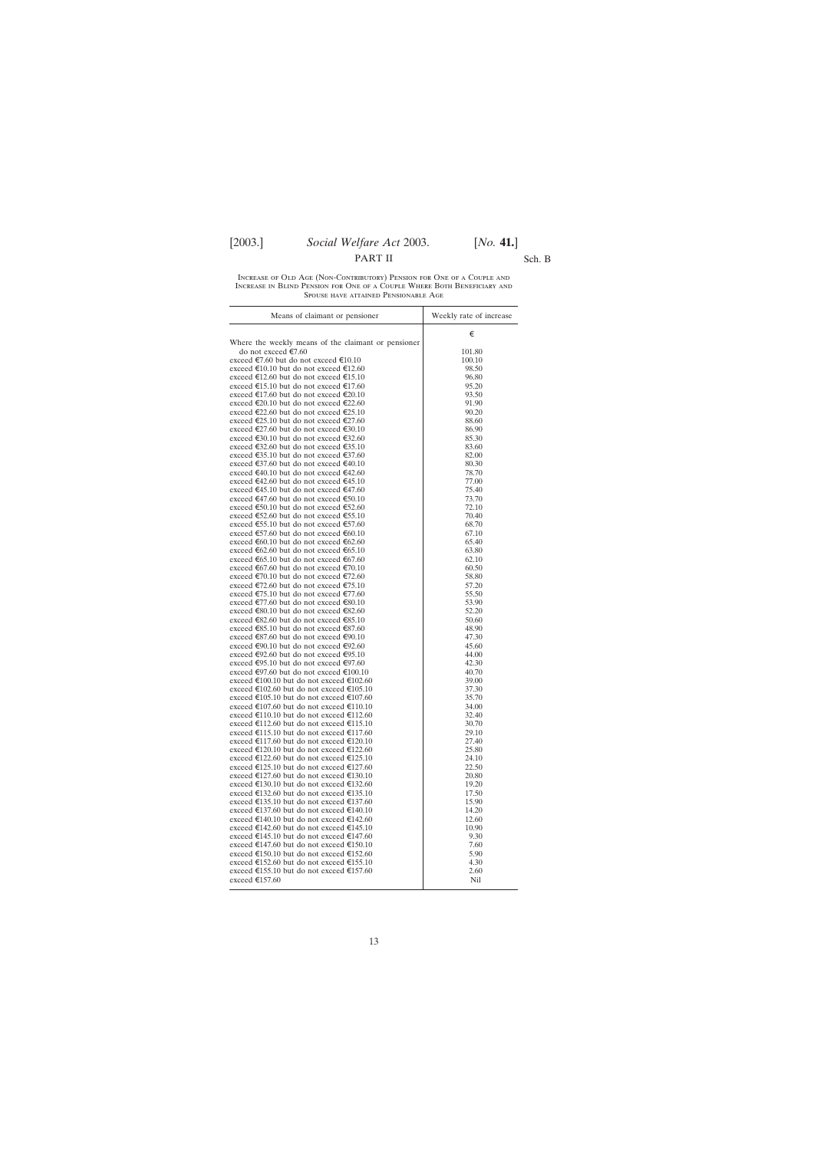### PART II Sch. B

Increase of Old Age (Non-Contributory) Pension for One of a Couple and Increase in Blind Pension for One of a Couple Where Both Beneficiary and Spouse have attained Pensionable Age

| Means of claimant or pensioner                                                       | Weekly rate of increase |
|--------------------------------------------------------------------------------------|-------------------------|
|                                                                                      | €                       |
| Where the weekly means of the claimant or pensioner                                  |                         |
| do not exceed €7.60                                                                  | 101.80                  |
| exceed €7.60 but do not exceed €10.10                                                | 100.10                  |
| exceed €10.10 but do not exceed €12.60                                               | 98.50                   |
| exceed €12.60 but do not exceed €15.10                                               | 96.80                   |
| exceed €15.10 but do not exceed €17.60<br>exceed €17.60 but do not exceed €20.10     | 95.20<br>93.50          |
| exceed €20.10 but do not exceed €22.60                                               | 91.90                   |
| exceed €22.60 but do not exceed €25.10                                               | 90.20                   |
| exceed €25.10 but do not exceed €27.60                                               | 88.60                   |
| exceed €27.60 but do not exceed €30.10                                               | 86.90                   |
| exceed €30.10 but do not exceed €32.60                                               | 85.30                   |
| exceed €32.60 but do not exceed €35.10                                               | 83.60                   |
| exceed €35.10 but do not exceed €37.60                                               | 82.00                   |
| exceed €37.60 but do not exceed €40.10                                               | 80.30                   |
| exceed €40.10 but do not exceed €42.60                                               | 78.70                   |
| exceed €42.60 but do not exceed €45.10                                               | 77.00                   |
| exceed €45.10 but do not exceed €47.60                                               | 75.40                   |
| exceed €47.60 but do not exceed €50.10                                               | 73.70                   |
| exceed €50.10 but do not exceed €52.60                                               | 72.10                   |
| exceed €52.60 but do not exceed €55.10                                               | 70.40                   |
| exceed €55.10 but do not exceed €57.60                                               | 68.70                   |
| exceed €57.60 but do not exceed €60.10<br>exceed €60.10 but do not exceed €62.60     | 67.10<br>65.40          |
| exceed €62.60 but do not exceed €65.10                                               | 63.80                   |
| exceed €65.10 but do not exceed €67.60                                               | 62.10                   |
| exceed €67.60 but do not exceed €70.10                                               | 60.50                   |
| exceed €70.10 but do not exceed €72.60                                               | 58.80                   |
| exceed €72.60 but do not exceed €75.10                                               | 57.20                   |
| exceed €75.10 but do not exceed €77.60                                               | 55.50                   |
| exceed €77.60 but do not exceed €80.10                                               | 53.90                   |
| exceed €80.10 but do not exceed €82.60                                               | 52.20                   |
| exceed €82.60 but do not exceed €85.10                                               | 50.60                   |
| exceed €85.10 but do not exceed €87.60                                               | 48.90                   |
| exceed €87.60 but do not exceed €90.10                                               | 47.30                   |
| exceed €90.10 but do not exceed €92.60                                               | 45.60                   |
| exceed €92.60 but do not exceed €95.10<br>exceed €95.10 but do not exceed €97.60     | 44.00<br>42.30          |
| exceed €97.60 but do not exceed €100.10                                              | 40.70                   |
| exceed €100.10 but do not exceed €102.60                                             | 39.00                   |
| exceed €102.60 but do not exceed €105.10                                             | 37.30                   |
| exceed €105.10 but do not exceed €107.60                                             | 35.70                   |
| exceed €107.60 but do not exceed €110.10                                             | 34.00                   |
| exceed €110.10 but do not exceed €112.60                                             | 32.40                   |
| exceed €112.60 but do not exceed €115.10                                             | 30.70                   |
| exceed €115.10 but do not exceed €117.60                                             | 29.10                   |
| exceed €117.60 but do not exceed €120.10                                             | 27.40                   |
| exceed €120.10 but do not exceed €122.60                                             | 25.80                   |
| exceed €122.60 but do not exceed €125.10                                             | 24.10                   |
| exceed €125.10 but do not exceed €127.60<br>exceed €127.60 but do not exceed €130.10 | 22.50<br>20.80          |
| exceed €130.10 but do not exceed €132.60                                             | 19.20                   |
| exceed €132.60 but do not exceed €135.10                                             | 17.50                   |
| exceed €135.10 but do not exceed €137.60                                             | 15.90                   |
| exceed €137.60 but do not exceed €140.10                                             | 14.20                   |
| exceed €140.10 but do not exceed €142.60                                             | 12.60                   |
| exceed €142.60 but do not exceed €145.10                                             | 10.90                   |
| exceed €145.10 but do not exceed €147.60                                             | 9.30                    |
| exceed €147.60 but do not exceed €150.10                                             | 7.60                    |
| exceed €150.10 but do not exceed €152.60                                             | 5.90                    |
| exceed €152.60 but do not exceed €155.10                                             | 4.30                    |
| exceed €155.10 but do not exceed €157.60                                             | 2.60                    |
| exceed €157.60                                                                       | Nil                     |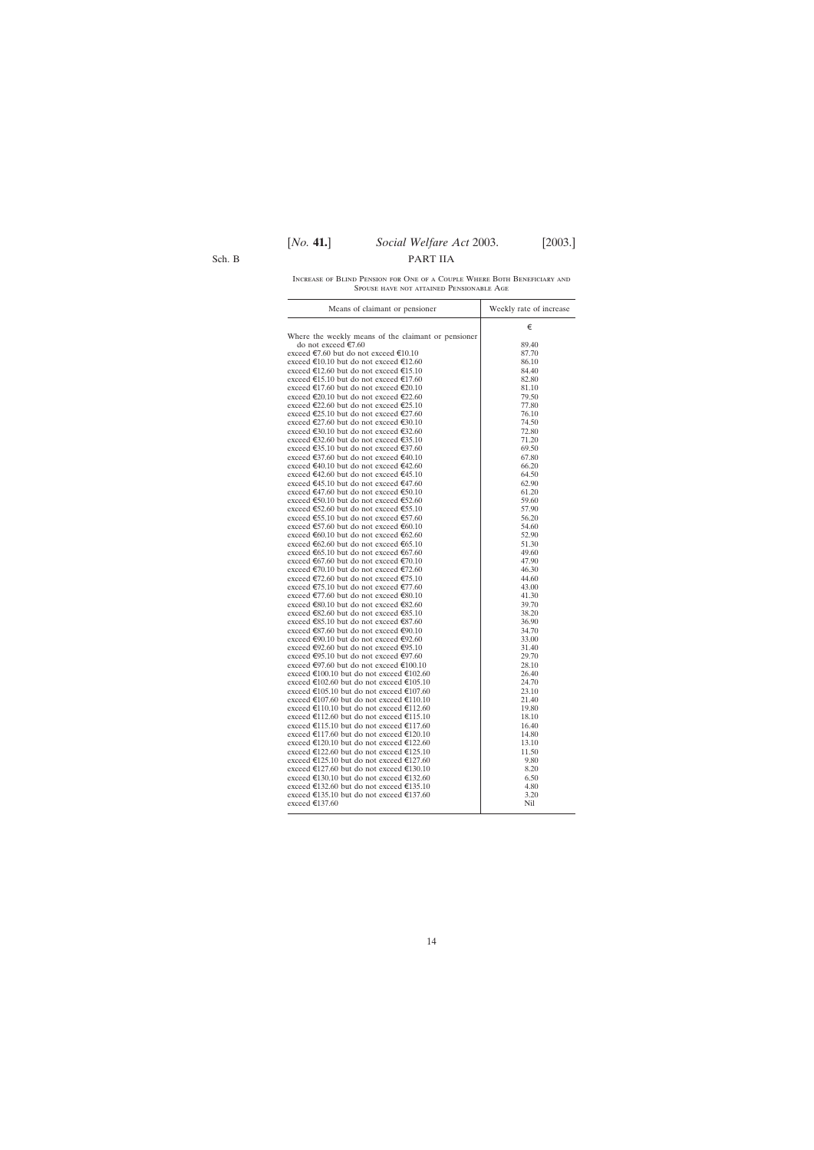Sch. B

| INCREASE OF BLIND PENSION FOR ONE OF A COUPLE WHERE BOTH BENEFICIARY AND |
|--------------------------------------------------------------------------|
| SPOUSE HAVE NOT ATTAINED PENSIONABLE AGE                                 |

| €<br>Where the weekly means of the claimant or pensioner<br>do not exceed €7.60<br>89.40<br>exceed €7.60 but do not exceed €10.10<br>87.70<br>exceed €10.10 but do not exceed €12.60<br>86.10<br>exceed €12.60 but do not exceed €15.10<br>84.40<br>exceed €15.10 but do not exceed €17.60<br>82.80<br>exceed €17.60 but do not exceed €20.10<br>81.10<br>exceed €20.10 but do not exceed €22.60<br>79.50<br>exceed €22.60 but do not exceed €25.10<br>77.80<br>exceed €25.10 but do not exceed €27.60<br>76.10<br>exceed €27.60 but do not exceed €30.10<br>74.50<br>exceed €30.10 but do not exceed €32.60<br>72.80<br>exceed €32.60 but do not exceed €35.10<br>71.20<br>exceed €35.10 but do not exceed €37.60<br>69.50<br>exceed €37.60 but do not exceed €40.10<br>67.80<br>exceed €40.10 but do not exceed €42.60<br>66.20<br>exceed €42.60 but do not exceed €45.10<br>64.50<br>exceed €45.10 but do not exceed €47.60<br>62.90<br>exceed €47.60 but do not exceed €50.10<br>61.20<br>exceed €50.10 but do not exceed €52.60<br>59.60<br>exceed €52.60 but do not exceed €55.10<br>57.90<br>exceed €55.10 but do not exceed €57.60<br>56.20<br>exceed €57.60 but do not exceed €60.10<br>54.60<br>exceed €60.10 but do not exceed €62.60<br>52.90<br>exceed €62.60 but do not exceed €65.10<br>51.30<br>exceed €65.10 but do not exceed €67.60<br>49.60<br>exceed €67.60 but do not exceed €70.10<br>47.90<br>exceed €70.10 but do not exceed €72.60<br>46.30<br>exceed €72.60 but do not exceed €75.10<br>44.60<br>exceed €75.10 but do not exceed €77.60<br>43.00<br>exceed €77.60 but do not exceed €80.10<br>41.30<br>exceed €80.10 but do not exceed €82.60<br>39.70<br>exceed €82.60 but do not exceed €85.10<br>38.20<br>exceed €85.10 but do not exceed €87.60<br>36.90<br>exceed €87.60 but do not exceed €90.10<br>34.70<br>exceed €90.10 but do not exceed €92.60<br>33.00<br>exceed €92.60 but do not exceed €95.10<br>31.40<br>exceed €95.10 but do not exceed €97.60<br>29.70<br>exceed €97.60 but do not exceed €100.10<br>28.10<br>exceed €100.10 but do not exceed €102.60<br>26.40<br>exceed €102.60 but do not exceed €105.10<br>24.70<br>exceed €105.10 but do not exceed €107.60<br>23.10<br>exceed €107.60 but do not exceed €110.10<br>21.40<br>exceed €110.10 but do not exceed €112.60<br>19.80<br>exceed €112.60 but do not exceed €115.10<br>18.10<br>exceed €115.10 but do not exceed €117.60<br>16.40<br>exceed €117.60 but do not exceed €120.10<br>14.80<br>exceed €120.10 but do not exceed €122.60<br>13.10<br>exceed €122.60 but do not exceed €125.10<br>11.50<br>exceed €125.10 but do not exceed €127.60<br>9.80<br>exceed €127.60 but do not exceed €130.10<br>8.20<br>exceed €130.10 but do not exceed €132.60<br>6.50<br>exceed €132.60 but do not exceed €135.10<br>4.80<br>exceed €135.10 but do not exceed €137.60<br>3.20<br>exceed €137.60<br>Nil | Means of claimant or pensioner | Weekly rate of increase |
|--------------------------------------------------------------------------------------------------------------------------------------------------------------------------------------------------------------------------------------------------------------------------------------------------------------------------------------------------------------------------------------------------------------------------------------------------------------------------------------------------------------------------------------------------------------------------------------------------------------------------------------------------------------------------------------------------------------------------------------------------------------------------------------------------------------------------------------------------------------------------------------------------------------------------------------------------------------------------------------------------------------------------------------------------------------------------------------------------------------------------------------------------------------------------------------------------------------------------------------------------------------------------------------------------------------------------------------------------------------------------------------------------------------------------------------------------------------------------------------------------------------------------------------------------------------------------------------------------------------------------------------------------------------------------------------------------------------------------------------------------------------------------------------------------------------------------------------------------------------------------------------------------------------------------------------------------------------------------------------------------------------------------------------------------------------------------------------------------------------------------------------------------------------------------------------------------------------------------------------------------------------------------------------------------------------------------------------------------------------------------------------------------------------------------------------------------------------------------------------------------------------------------------------------------------------------------------------------------------------------------------------------------------------------------------------------------------------------------------------------------------------------------------------------------------------------------------------------------------------------------------------------------------|--------------------------------|-------------------------|
|                                                                                                                                                                                                                                                                                                                                                                                                                                                                                                                                                                                                                                                                                                                                                                                                                                                                                                                                                                                                                                                                                                                                                                                                                                                                                                                                                                                                                                                                                                                                                                                                                                                                                                                                                                                                                                                                                                                                                                                                                                                                                                                                                                                                                                                                                                                                                                                                                                                                                                                                                                                                                                                                                                                                                                                                                                                                                                        |                                |                         |
|                                                                                                                                                                                                                                                                                                                                                                                                                                                                                                                                                                                                                                                                                                                                                                                                                                                                                                                                                                                                                                                                                                                                                                                                                                                                                                                                                                                                                                                                                                                                                                                                                                                                                                                                                                                                                                                                                                                                                                                                                                                                                                                                                                                                                                                                                                                                                                                                                                                                                                                                                                                                                                                                                                                                                                                                                                                                                                        |                                |                         |
|                                                                                                                                                                                                                                                                                                                                                                                                                                                                                                                                                                                                                                                                                                                                                                                                                                                                                                                                                                                                                                                                                                                                                                                                                                                                                                                                                                                                                                                                                                                                                                                                                                                                                                                                                                                                                                                                                                                                                                                                                                                                                                                                                                                                                                                                                                                                                                                                                                                                                                                                                                                                                                                                                                                                                                                                                                                                                                        |                                |                         |
|                                                                                                                                                                                                                                                                                                                                                                                                                                                                                                                                                                                                                                                                                                                                                                                                                                                                                                                                                                                                                                                                                                                                                                                                                                                                                                                                                                                                                                                                                                                                                                                                                                                                                                                                                                                                                                                                                                                                                                                                                                                                                                                                                                                                                                                                                                                                                                                                                                                                                                                                                                                                                                                                                                                                                                                                                                                                                                        |                                |                         |
|                                                                                                                                                                                                                                                                                                                                                                                                                                                                                                                                                                                                                                                                                                                                                                                                                                                                                                                                                                                                                                                                                                                                                                                                                                                                                                                                                                                                                                                                                                                                                                                                                                                                                                                                                                                                                                                                                                                                                                                                                                                                                                                                                                                                                                                                                                                                                                                                                                                                                                                                                                                                                                                                                                                                                                                                                                                                                                        |                                |                         |
|                                                                                                                                                                                                                                                                                                                                                                                                                                                                                                                                                                                                                                                                                                                                                                                                                                                                                                                                                                                                                                                                                                                                                                                                                                                                                                                                                                                                                                                                                                                                                                                                                                                                                                                                                                                                                                                                                                                                                                                                                                                                                                                                                                                                                                                                                                                                                                                                                                                                                                                                                                                                                                                                                                                                                                                                                                                                                                        |                                |                         |
|                                                                                                                                                                                                                                                                                                                                                                                                                                                                                                                                                                                                                                                                                                                                                                                                                                                                                                                                                                                                                                                                                                                                                                                                                                                                                                                                                                                                                                                                                                                                                                                                                                                                                                                                                                                                                                                                                                                                                                                                                                                                                                                                                                                                                                                                                                                                                                                                                                                                                                                                                                                                                                                                                                                                                                                                                                                                                                        |                                |                         |
|                                                                                                                                                                                                                                                                                                                                                                                                                                                                                                                                                                                                                                                                                                                                                                                                                                                                                                                                                                                                                                                                                                                                                                                                                                                                                                                                                                                                                                                                                                                                                                                                                                                                                                                                                                                                                                                                                                                                                                                                                                                                                                                                                                                                                                                                                                                                                                                                                                                                                                                                                                                                                                                                                                                                                                                                                                                                                                        |                                |                         |
|                                                                                                                                                                                                                                                                                                                                                                                                                                                                                                                                                                                                                                                                                                                                                                                                                                                                                                                                                                                                                                                                                                                                                                                                                                                                                                                                                                                                                                                                                                                                                                                                                                                                                                                                                                                                                                                                                                                                                                                                                                                                                                                                                                                                                                                                                                                                                                                                                                                                                                                                                                                                                                                                                                                                                                                                                                                                                                        |                                |                         |
|                                                                                                                                                                                                                                                                                                                                                                                                                                                                                                                                                                                                                                                                                                                                                                                                                                                                                                                                                                                                                                                                                                                                                                                                                                                                                                                                                                                                                                                                                                                                                                                                                                                                                                                                                                                                                                                                                                                                                                                                                                                                                                                                                                                                                                                                                                                                                                                                                                                                                                                                                                                                                                                                                                                                                                                                                                                                                                        |                                |                         |
|                                                                                                                                                                                                                                                                                                                                                                                                                                                                                                                                                                                                                                                                                                                                                                                                                                                                                                                                                                                                                                                                                                                                                                                                                                                                                                                                                                                                                                                                                                                                                                                                                                                                                                                                                                                                                                                                                                                                                                                                                                                                                                                                                                                                                                                                                                                                                                                                                                                                                                                                                                                                                                                                                                                                                                                                                                                                                                        |                                |                         |
|                                                                                                                                                                                                                                                                                                                                                                                                                                                                                                                                                                                                                                                                                                                                                                                                                                                                                                                                                                                                                                                                                                                                                                                                                                                                                                                                                                                                                                                                                                                                                                                                                                                                                                                                                                                                                                                                                                                                                                                                                                                                                                                                                                                                                                                                                                                                                                                                                                                                                                                                                                                                                                                                                                                                                                                                                                                                                                        |                                |                         |
|                                                                                                                                                                                                                                                                                                                                                                                                                                                                                                                                                                                                                                                                                                                                                                                                                                                                                                                                                                                                                                                                                                                                                                                                                                                                                                                                                                                                                                                                                                                                                                                                                                                                                                                                                                                                                                                                                                                                                                                                                                                                                                                                                                                                                                                                                                                                                                                                                                                                                                                                                                                                                                                                                                                                                                                                                                                                                                        |                                |                         |
|                                                                                                                                                                                                                                                                                                                                                                                                                                                                                                                                                                                                                                                                                                                                                                                                                                                                                                                                                                                                                                                                                                                                                                                                                                                                                                                                                                                                                                                                                                                                                                                                                                                                                                                                                                                                                                                                                                                                                                                                                                                                                                                                                                                                                                                                                                                                                                                                                                                                                                                                                                                                                                                                                                                                                                                                                                                                                                        |                                |                         |
|                                                                                                                                                                                                                                                                                                                                                                                                                                                                                                                                                                                                                                                                                                                                                                                                                                                                                                                                                                                                                                                                                                                                                                                                                                                                                                                                                                                                                                                                                                                                                                                                                                                                                                                                                                                                                                                                                                                                                                                                                                                                                                                                                                                                                                                                                                                                                                                                                                                                                                                                                                                                                                                                                                                                                                                                                                                                                                        |                                |                         |
|                                                                                                                                                                                                                                                                                                                                                                                                                                                                                                                                                                                                                                                                                                                                                                                                                                                                                                                                                                                                                                                                                                                                                                                                                                                                                                                                                                                                                                                                                                                                                                                                                                                                                                                                                                                                                                                                                                                                                                                                                                                                                                                                                                                                                                                                                                                                                                                                                                                                                                                                                                                                                                                                                                                                                                                                                                                                                                        |                                |                         |
|                                                                                                                                                                                                                                                                                                                                                                                                                                                                                                                                                                                                                                                                                                                                                                                                                                                                                                                                                                                                                                                                                                                                                                                                                                                                                                                                                                                                                                                                                                                                                                                                                                                                                                                                                                                                                                                                                                                                                                                                                                                                                                                                                                                                                                                                                                                                                                                                                                                                                                                                                                                                                                                                                                                                                                                                                                                                                                        |                                |                         |
|                                                                                                                                                                                                                                                                                                                                                                                                                                                                                                                                                                                                                                                                                                                                                                                                                                                                                                                                                                                                                                                                                                                                                                                                                                                                                                                                                                                                                                                                                                                                                                                                                                                                                                                                                                                                                                                                                                                                                                                                                                                                                                                                                                                                                                                                                                                                                                                                                                                                                                                                                                                                                                                                                                                                                                                                                                                                                                        |                                |                         |
|                                                                                                                                                                                                                                                                                                                                                                                                                                                                                                                                                                                                                                                                                                                                                                                                                                                                                                                                                                                                                                                                                                                                                                                                                                                                                                                                                                                                                                                                                                                                                                                                                                                                                                                                                                                                                                                                                                                                                                                                                                                                                                                                                                                                                                                                                                                                                                                                                                                                                                                                                                                                                                                                                                                                                                                                                                                                                                        |                                |                         |
|                                                                                                                                                                                                                                                                                                                                                                                                                                                                                                                                                                                                                                                                                                                                                                                                                                                                                                                                                                                                                                                                                                                                                                                                                                                                                                                                                                                                                                                                                                                                                                                                                                                                                                                                                                                                                                                                                                                                                                                                                                                                                                                                                                                                                                                                                                                                                                                                                                                                                                                                                                                                                                                                                                                                                                                                                                                                                                        |                                |                         |
|                                                                                                                                                                                                                                                                                                                                                                                                                                                                                                                                                                                                                                                                                                                                                                                                                                                                                                                                                                                                                                                                                                                                                                                                                                                                                                                                                                                                                                                                                                                                                                                                                                                                                                                                                                                                                                                                                                                                                                                                                                                                                                                                                                                                                                                                                                                                                                                                                                                                                                                                                                                                                                                                                                                                                                                                                                                                                                        |                                |                         |
|                                                                                                                                                                                                                                                                                                                                                                                                                                                                                                                                                                                                                                                                                                                                                                                                                                                                                                                                                                                                                                                                                                                                                                                                                                                                                                                                                                                                                                                                                                                                                                                                                                                                                                                                                                                                                                                                                                                                                                                                                                                                                                                                                                                                                                                                                                                                                                                                                                                                                                                                                                                                                                                                                                                                                                                                                                                                                                        |                                |                         |
|                                                                                                                                                                                                                                                                                                                                                                                                                                                                                                                                                                                                                                                                                                                                                                                                                                                                                                                                                                                                                                                                                                                                                                                                                                                                                                                                                                                                                                                                                                                                                                                                                                                                                                                                                                                                                                                                                                                                                                                                                                                                                                                                                                                                                                                                                                                                                                                                                                                                                                                                                                                                                                                                                                                                                                                                                                                                                                        |                                |                         |
|                                                                                                                                                                                                                                                                                                                                                                                                                                                                                                                                                                                                                                                                                                                                                                                                                                                                                                                                                                                                                                                                                                                                                                                                                                                                                                                                                                                                                                                                                                                                                                                                                                                                                                                                                                                                                                                                                                                                                                                                                                                                                                                                                                                                                                                                                                                                                                                                                                                                                                                                                                                                                                                                                                                                                                                                                                                                                                        |                                |                         |
|                                                                                                                                                                                                                                                                                                                                                                                                                                                                                                                                                                                                                                                                                                                                                                                                                                                                                                                                                                                                                                                                                                                                                                                                                                                                                                                                                                                                                                                                                                                                                                                                                                                                                                                                                                                                                                                                                                                                                                                                                                                                                                                                                                                                                                                                                                                                                                                                                                                                                                                                                                                                                                                                                                                                                                                                                                                                                                        |                                |                         |
|                                                                                                                                                                                                                                                                                                                                                                                                                                                                                                                                                                                                                                                                                                                                                                                                                                                                                                                                                                                                                                                                                                                                                                                                                                                                                                                                                                                                                                                                                                                                                                                                                                                                                                                                                                                                                                                                                                                                                                                                                                                                                                                                                                                                                                                                                                                                                                                                                                                                                                                                                                                                                                                                                                                                                                                                                                                                                                        |                                |                         |
|                                                                                                                                                                                                                                                                                                                                                                                                                                                                                                                                                                                                                                                                                                                                                                                                                                                                                                                                                                                                                                                                                                                                                                                                                                                                                                                                                                                                                                                                                                                                                                                                                                                                                                                                                                                                                                                                                                                                                                                                                                                                                                                                                                                                                                                                                                                                                                                                                                                                                                                                                                                                                                                                                                                                                                                                                                                                                                        |                                |                         |
|                                                                                                                                                                                                                                                                                                                                                                                                                                                                                                                                                                                                                                                                                                                                                                                                                                                                                                                                                                                                                                                                                                                                                                                                                                                                                                                                                                                                                                                                                                                                                                                                                                                                                                                                                                                                                                                                                                                                                                                                                                                                                                                                                                                                                                                                                                                                                                                                                                                                                                                                                                                                                                                                                                                                                                                                                                                                                                        |                                |                         |
|                                                                                                                                                                                                                                                                                                                                                                                                                                                                                                                                                                                                                                                                                                                                                                                                                                                                                                                                                                                                                                                                                                                                                                                                                                                                                                                                                                                                                                                                                                                                                                                                                                                                                                                                                                                                                                                                                                                                                                                                                                                                                                                                                                                                                                                                                                                                                                                                                                                                                                                                                                                                                                                                                                                                                                                                                                                                                                        |                                |                         |
|                                                                                                                                                                                                                                                                                                                                                                                                                                                                                                                                                                                                                                                                                                                                                                                                                                                                                                                                                                                                                                                                                                                                                                                                                                                                                                                                                                                                                                                                                                                                                                                                                                                                                                                                                                                                                                                                                                                                                                                                                                                                                                                                                                                                                                                                                                                                                                                                                                                                                                                                                                                                                                                                                                                                                                                                                                                                                                        |                                |                         |
|                                                                                                                                                                                                                                                                                                                                                                                                                                                                                                                                                                                                                                                                                                                                                                                                                                                                                                                                                                                                                                                                                                                                                                                                                                                                                                                                                                                                                                                                                                                                                                                                                                                                                                                                                                                                                                                                                                                                                                                                                                                                                                                                                                                                                                                                                                                                                                                                                                                                                                                                                                                                                                                                                                                                                                                                                                                                                                        |                                |                         |
|                                                                                                                                                                                                                                                                                                                                                                                                                                                                                                                                                                                                                                                                                                                                                                                                                                                                                                                                                                                                                                                                                                                                                                                                                                                                                                                                                                                                                                                                                                                                                                                                                                                                                                                                                                                                                                                                                                                                                                                                                                                                                                                                                                                                                                                                                                                                                                                                                                                                                                                                                                                                                                                                                                                                                                                                                                                                                                        |                                |                         |
|                                                                                                                                                                                                                                                                                                                                                                                                                                                                                                                                                                                                                                                                                                                                                                                                                                                                                                                                                                                                                                                                                                                                                                                                                                                                                                                                                                                                                                                                                                                                                                                                                                                                                                                                                                                                                                                                                                                                                                                                                                                                                                                                                                                                                                                                                                                                                                                                                                                                                                                                                                                                                                                                                                                                                                                                                                                                                                        |                                |                         |
|                                                                                                                                                                                                                                                                                                                                                                                                                                                                                                                                                                                                                                                                                                                                                                                                                                                                                                                                                                                                                                                                                                                                                                                                                                                                                                                                                                                                                                                                                                                                                                                                                                                                                                                                                                                                                                                                                                                                                                                                                                                                                                                                                                                                                                                                                                                                                                                                                                                                                                                                                                                                                                                                                                                                                                                                                                                                                                        |                                |                         |
|                                                                                                                                                                                                                                                                                                                                                                                                                                                                                                                                                                                                                                                                                                                                                                                                                                                                                                                                                                                                                                                                                                                                                                                                                                                                                                                                                                                                                                                                                                                                                                                                                                                                                                                                                                                                                                                                                                                                                                                                                                                                                                                                                                                                                                                                                                                                                                                                                                                                                                                                                                                                                                                                                                                                                                                                                                                                                                        |                                |                         |
|                                                                                                                                                                                                                                                                                                                                                                                                                                                                                                                                                                                                                                                                                                                                                                                                                                                                                                                                                                                                                                                                                                                                                                                                                                                                                                                                                                                                                                                                                                                                                                                                                                                                                                                                                                                                                                                                                                                                                                                                                                                                                                                                                                                                                                                                                                                                                                                                                                                                                                                                                                                                                                                                                                                                                                                                                                                                                                        |                                |                         |
|                                                                                                                                                                                                                                                                                                                                                                                                                                                                                                                                                                                                                                                                                                                                                                                                                                                                                                                                                                                                                                                                                                                                                                                                                                                                                                                                                                                                                                                                                                                                                                                                                                                                                                                                                                                                                                                                                                                                                                                                                                                                                                                                                                                                                                                                                                                                                                                                                                                                                                                                                                                                                                                                                                                                                                                                                                                                                                        |                                |                         |
|                                                                                                                                                                                                                                                                                                                                                                                                                                                                                                                                                                                                                                                                                                                                                                                                                                                                                                                                                                                                                                                                                                                                                                                                                                                                                                                                                                                                                                                                                                                                                                                                                                                                                                                                                                                                                                                                                                                                                                                                                                                                                                                                                                                                                                                                                                                                                                                                                                                                                                                                                                                                                                                                                                                                                                                                                                                                                                        |                                |                         |
|                                                                                                                                                                                                                                                                                                                                                                                                                                                                                                                                                                                                                                                                                                                                                                                                                                                                                                                                                                                                                                                                                                                                                                                                                                                                                                                                                                                                                                                                                                                                                                                                                                                                                                                                                                                                                                                                                                                                                                                                                                                                                                                                                                                                                                                                                                                                                                                                                                                                                                                                                                                                                                                                                                                                                                                                                                                                                                        |                                |                         |
|                                                                                                                                                                                                                                                                                                                                                                                                                                                                                                                                                                                                                                                                                                                                                                                                                                                                                                                                                                                                                                                                                                                                                                                                                                                                                                                                                                                                                                                                                                                                                                                                                                                                                                                                                                                                                                                                                                                                                                                                                                                                                                                                                                                                                                                                                                                                                                                                                                                                                                                                                                                                                                                                                                                                                                                                                                                                                                        |                                |                         |
|                                                                                                                                                                                                                                                                                                                                                                                                                                                                                                                                                                                                                                                                                                                                                                                                                                                                                                                                                                                                                                                                                                                                                                                                                                                                                                                                                                                                                                                                                                                                                                                                                                                                                                                                                                                                                                                                                                                                                                                                                                                                                                                                                                                                                                                                                                                                                                                                                                                                                                                                                                                                                                                                                                                                                                                                                                                                                                        |                                |                         |
|                                                                                                                                                                                                                                                                                                                                                                                                                                                                                                                                                                                                                                                                                                                                                                                                                                                                                                                                                                                                                                                                                                                                                                                                                                                                                                                                                                                                                                                                                                                                                                                                                                                                                                                                                                                                                                                                                                                                                                                                                                                                                                                                                                                                                                                                                                                                                                                                                                                                                                                                                                                                                                                                                                                                                                                                                                                                                                        |                                |                         |
|                                                                                                                                                                                                                                                                                                                                                                                                                                                                                                                                                                                                                                                                                                                                                                                                                                                                                                                                                                                                                                                                                                                                                                                                                                                                                                                                                                                                                                                                                                                                                                                                                                                                                                                                                                                                                                                                                                                                                                                                                                                                                                                                                                                                                                                                                                                                                                                                                                                                                                                                                                                                                                                                                                                                                                                                                                                                                                        |                                |                         |
|                                                                                                                                                                                                                                                                                                                                                                                                                                                                                                                                                                                                                                                                                                                                                                                                                                                                                                                                                                                                                                                                                                                                                                                                                                                                                                                                                                                                                                                                                                                                                                                                                                                                                                                                                                                                                                                                                                                                                                                                                                                                                                                                                                                                                                                                                                                                                                                                                                                                                                                                                                                                                                                                                                                                                                                                                                                                                                        |                                |                         |
|                                                                                                                                                                                                                                                                                                                                                                                                                                                                                                                                                                                                                                                                                                                                                                                                                                                                                                                                                                                                                                                                                                                                                                                                                                                                                                                                                                                                                                                                                                                                                                                                                                                                                                                                                                                                                                                                                                                                                                                                                                                                                                                                                                                                                                                                                                                                                                                                                                                                                                                                                                                                                                                                                                                                                                                                                                                                                                        |                                |                         |
|                                                                                                                                                                                                                                                                                                                                                                                                                                                                                                                                                                                                                                                                                                                                                                                                                                                                                                                                                                                                                                                                                                                                                                                                                                                                                                                                                                                                                                                                                                                                                                                                                                                                                                                                                                                                                                                                                                                                                                                                                                                                                                                                                                                                                                                                                                                                                                                                                                                                                                                                                                                                                                                                                                                                                                                                                                                                                                        |                                |                         |
|                                                                                                                                                                                                                                                                                                                                                                                                                                                                                                                                                                                                                                                                                                                                                                                                                                                                                                                                                                                                                                                                                                                                                                                                                                                                                                                                                                                                                                                                                                                                                                                                                                                                                                                                                                                                                                                                                                                                                                                                                                                                                                                                                                                                                                                                                                                                                                                                                                                                                                                                                                                                                                                                                                                                                                                                                                                                                                        |                                |                         |
|                                                                                                                                                                                                                                                                                                                                                                                                                                                                                                                                                                                                                                                                                                                                                                                                                                                                                                                                                                                                                                                                                                                                                                                                                                                                                                                                                                                                                                                                                                                                                                                                                                                                                                                                                                                                                                                                                                                                                                                                                                                                                                                                                                                                                                                                                                                                                                                                                                                                                                                                                                                                                                                                                                                                                                                                                                                                                                        |                                |                         |
|                                                                                                                                                                                                                                                                                                                                                                                                                                                                                                                                                                                                                                                                                                                                                                                                                                                                                                                                                                                                                                                                                                                                                                                                                                                                                                                                                                                                                                                                                                                                                                                                                                                                                                                                                                                                                                                                                                                                                                                                                                                                                                                                                                                                                                                                                                                                                                                                                                                                                                                                                                                                                                                                                                                                                                                                                                                                                                        |                                |                         |
|                                                                                                                                                                                                                                                                                                                                                                                                                                                                                                                                                                                                                                                                                                                                                                                                                                                                                                                                                                                                                                                                                                                                                                                                                                                                                                                                                                                                                                                                                                                                                                                                                                                                                                                                                                                                                                                                                                                                                                                                                                                                                                                                                                                                                                                                                                                                                                                                                                                                                                                                                                                                                                                                                                                                                                                                                                                                                                        |                                |                         |
|                                                                                                                                                                                                                                                                                                                                                                                                                                                                                                                                                                                                                                                                                                                                                                                                                                                                                                                                                                                                                                                                                                                                                                                                                                                                                                                                                                                                                                                                                                                                                                                                                                                                                                                                                                                                                                                                                                                                                                                                                                                                                                                                                                                                                                                                                                                                                                                                                                                                                                                                                                                                                                                                                                                                                                                                                                                                                                        |                                |                         |
|                                                                                                                                                                                                                                                                                                                                                                                                                                                                                                                                                                                                                                                                                                                                                                                                                                                                                                                                                                                                                                                                                                                                                                                                                                                                                                                                                                                                                                                                                                                                                                                                                                                                                                                                                                                                                                                                                                                                                                                                                                                                                                                                                                                                                                                                                                                                                                                                                                                                                                                                                                                                                                                                                                                                                                                                                                                                                                        |                                |                         |
|                                                                                                                                                                                                                                                                                                                                                                                                                                                                                                                                                                                                                                                                                                                                                                                                                                                                                                                                                                                                                                                                                                                                                                                                                                                                                                                                                                                                                                                                                                                                                                                                                                                                                                                                                                                                                                                                                                                                                                                                                                                                                                                                                                                                                                                                                                                                                                                                                                                                                                                                                                                                                                                                                                                                                                                                                                                                                                        |                                |                         |
|                                                                                                                                                                                                                                                                                                                                                                                                                                                                                                                                                                                                                                                                                                                                                                                                                                                                                                                                                                                                                                                                                                                                                                                                                                                                                                                                                                                                                                                                                                                                                                                                                                                                                                                                                                                                                                                                                                                                                                                                                                                                                                                                                                                                                                                                                                                                                                                                                                                                                                                                                                                                                                                                                                                                                                                                                                                                                                        |                                |                         |
|                                                                                                                                                                                                                                                                                                                                                                                                                                                                                                                                                                                                                                                                                                                                                                                                                                                                                                                                                                                                                                                                                                                                                                                                                                                                                                                                                                                                                                                                                                                                                                                                                                                                                                                                                                                                                                                                                                                                                                                                                                                                                                                                                                                                                                                                                                                                                                                                                                                                                                                                                                                                                                                                                                                                                                                                                                                                                                        |                                |                         |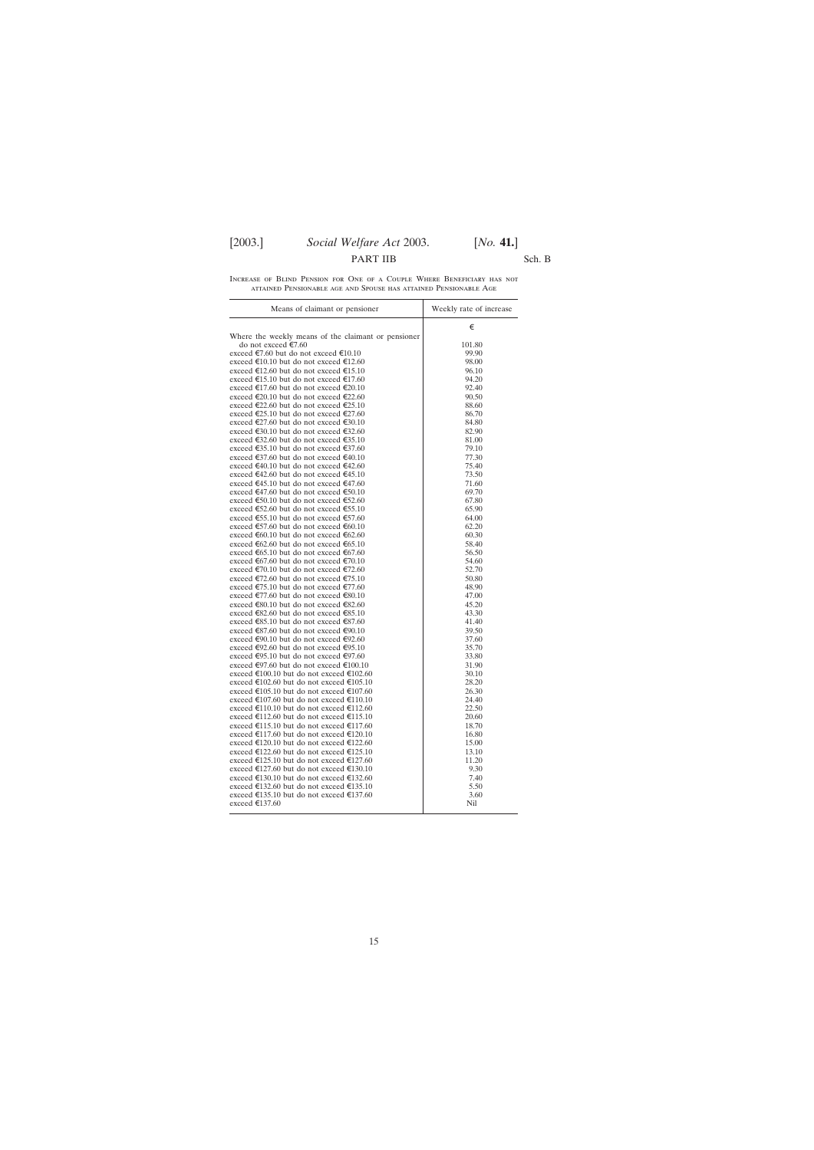### PART IIB Sch. B

Increase of Blind Pension for One of a Couple Where Beneficiary has not attained Pensionable age and Spouse has attained Pensionable Age

| Means of claimant or pensioner                      | Weekly rate of increase |
|-----------------------------------------------------|-------------------------|
|                                                     | €                       |
| Where the weekly means of the claimant or pensioner |                         |
| do not exceed €7.60                                 | 101.80                  |
| exceed €7.60 but do not exceed €10.10               | 99.90                   |
| exceed €10.10 but do not exceed €12.60              | 98.00                   |
| exceed €12.60 but do not exceed €15.10              | 96.10                   |
| exceed €15.10 but do not exceed €17.60              | 94.20                   |
| exceed €17.60 but do not exceed €20.10              | 92.40                   |
| exceed €20.10 but do not exceed €22.60              | 90.50                   |
| exceed €22.60 but do not exceed €25.10              | 88.60                   |
| exceed €25.10 but do not exceed €27.60              | 86.70                   |
| exceed €27.60 but do not exceed €30.10              | 84.80                   |
| exceed €30.10 but do not exceed €32.60              | 82.90                   |
| exceed €32.60 but do not exceed €35.10              | 81.00                   |
| exceed €35.10 but do not exceed €37.60              | 79.10                   |
| exceed €37.60 but do not exceed €40.10              | 77.30                   |
| exceed €40.10 but do not exceed €42.60              | 75.40                   |
| exceed €42.60 but do not exceed €45.10              | 73.50                   |
| exceed €45.10 but do not exceed €47.60              | 71.60                   |
| exceed €47.60 but do not exceed €50.10              | 69.70                   |
| exceed €50.10 but do not exceed €52.60              | 67.80                   |
| exceed €52.60 but do not exceed €55.10              | 65.90                   |
| exceed €55.10 but do not exceed €57.60              | 64.00                   |
| exceed €57.60 but do not exceed €60.10              | 62.20                   |
| exceed €60.10 but do not exceed €62.60              | 60.30                   |
| exceed €62.60 but do not exceed €65.10              | 58.40                   |
| exceed €65.10 but do not exceed €67.60              | 56.50                   |
| exceed €67.60 but do not exceed €70.10              | 54.60                   |
| exceed €70.10 but do not exceed €72.60              | 52.70                   |
| exceed €72.60 but do not exceed €75.10              | 50.80                   |
| exceed €75.10 but do not exceed €77.60              | 48.90                   |
| exceed €77.60 but do not exceed €80.10              | 47.00                   |
| exceed €80.10 but do not exceed €82.60              | 45.20                   |
| exceed €82.60 but do not exceed €85.10              | 43.30                   |
| exceed €85.10 but do not exceed €87.60              | 41.40                   |
| exceed €87.60 but do not exceed €90.10              | 39.50                   |
| exceed €90.10 but do not exceed €92.60              | 37.60                   |
| exceed €92.60 but do not exceed €95.10              | 35.70                   |
| exceed €95.10 but do not exceed €97.60              | 33.80                   |
| exceed €97.60 but do not exceed €100.10             | 31.90                   |
| exceed €100.10 but do not exceed €102.60            | 30.10                   |
| exceed €102.60 but do not exceed €105.10            | 28.20                   |
| exceed €105.10 but do not exceed €107.60            | 26.30                   |
| exceed €107.60 but do not exceed €110.10            | 24.40                   |
| exceed €110.10 but do not exceed €112.60            | 22.50                   |
| exceed €112.60 but do not exceed €115.10            | 20.60                   |
| exceed €115.10 but do not exceed €117.60            | 18.70                   |
| exceed €117.60 but do not exceed €120.10            | 16.80                   |
| exceed €120.10 but do not exceed €122.60            | 15.00                   |
| exceed €122.60 but do not exceed €125.10            | 13.10                   |
| exceed €125.10 but do not exceed €127.60            | 11.20                   |
| exceed €127.60 but do not exceed €130.10            | 9.30                    |
| exceed €130.10 but do not exceed €132.60            | 7.40                    |
| exceed €132.60 but do not exceed €135.10            | 5.50                    |
| exceed €135.10 but do not exceed €137.60            | 3.60                    |
| exceed €137.60                                      | Nil                     |
|                                                     |                         |